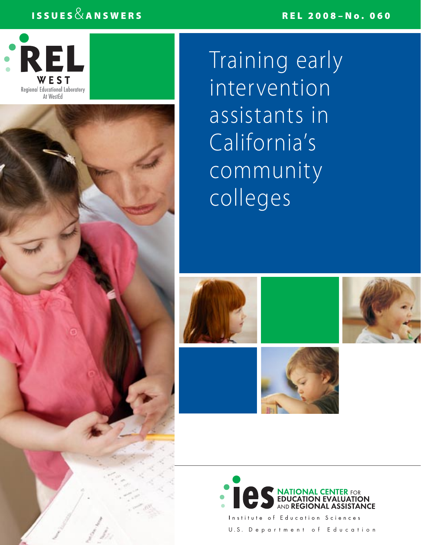## ISSUES  $\&$  ANSWERS

## REL 2008–No. 060



Training early intervention assistants in California's community colleges











of Education Sciences U.S. Department of Education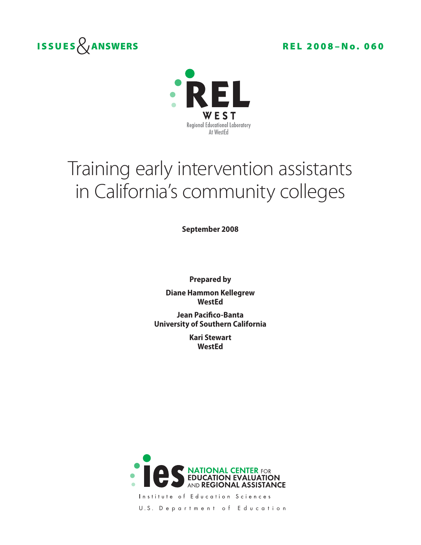



# Training early intervention assistants in California's community colleges

**September 2008**

**Prepared by Diane Hammon Kellegrew WestEd**

**Jean Pacifico-Banta University of Southern California**

> **Kari Stewart WestEd**



Institute of Education Sciences

U.S. Department of Education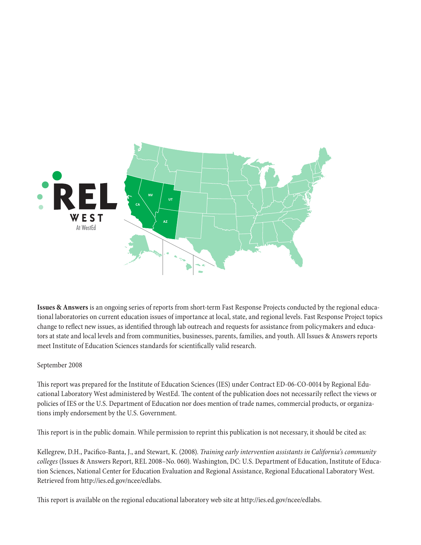

**Issues & Answers** is an ongoing series of reports from short-term Fast Response Projects conducted by the regional educational laboratories on current education issues of importance at local, state, and regional levels. Fast Response Project topics change to reflect new issues, as identified through lab outreach and requests for assistance from policymakers and educators at state and local levels and from communities, businesses, parents, families, and youth. All Issues & Answers reports meet Institute of Education Sciences standards for scientifically valid research.

## September 2008

This report was prepared for the Institute of Education Sciences (IES) under Contract ED-06-CO-0014 by Regional Educational Laboratory West administered by WestEd. The content of the publication does not necessarily reflect the views or policies of IES or the U.S. Department of Education nor does mention of trade names, commercial products, or organizations imply endorsement by the U.S. Government.

This report is in the public domain. While permission to reprint this publication is not necessary, it should be cited as:

Kellegrew, D.H., Pacifico-Banta, J., and Stewart, K. (2008). *Training early intervention assistants in California's community colleges* (Issues & Answers Report, REL 2008–No. 060). Washington, DC: U.S. Department of Education, Institute of Education Sciences, National Center for Education Evaluation and Regional Assistance, Regional Educational Laboratory West. Retrieved from http://ies.ed.gov/ncee/edlabs.

This report is available on the regional educational laboratory web site at http://ies.ed.gov/ncee/edlabs.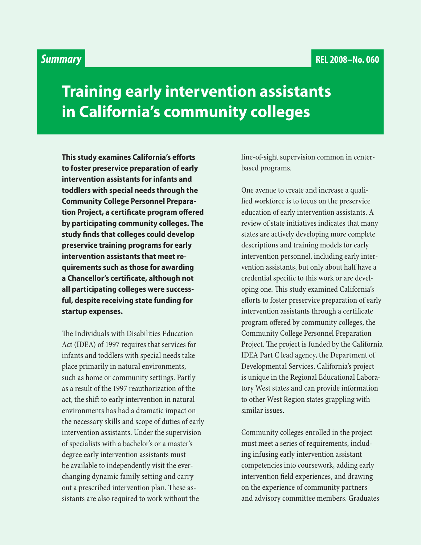## *Summary*

## **Training early intervention assistants in California's community colleges**

**This study examines California's efforts to foster preservice preparation of early intervention assistants for infants and toddlers with special needs through the Community College Personnel Preparation Project, a certificate program offered by participating community colleges. The study finds that colleges could develop preservice training programs for early intervention assistants that meet requirements such as those for awarding a Chancellor's certificate, although not all participating colleges were successful, despite receiving state funding for startup expenses.**

The Individuals with Disabilities Education Act (IDEA) of 1997 requires that services for infants and toddlers with special needs take place primarily in natural environments, such as home or community settings. Partly as a result of the 1997 reauthorization of the act, the shift to early intervention in natural environments has had a dramatic impact on the necessary skills and scope of duties of early intervention assistants. Under the supervision of specialists with a bachelor's or a master's degree early intervention assistants must be available to independently visit the everchanging dynamic family setting and carry out a prescribed intervention plan. These assistants are also required to work without the

line-of-sight supervision common in centerbased programs.

One avenue to create and increase a qualified workforce is to focus on the preservice education of early intervention assistants. A review of state initiatives indicates that many states are actively developing more complete descriptions and training models for early intervention personnel, including early intervention assistants, but only about half have a credential specific to this work or are developing one. This study examined California's efforts to foster preservice preparation of early intervention assistants through a certificate program offered by community colleges, the Community College Personnel Preparation Project. The project is funded by the California IDEA Part C lead agency, the Department of Developmental Services. California's project is unique in the Regional Educational Laboratory West states and can provide information to other West Region states grappling with similar issues.

Community colleges enrolled in the project must meet a series of requirements, including infusing early intervention assistant competencies into coursework, adding early intervention field experiences, and drawing on the experience of community partners and advisory committee members. Graduates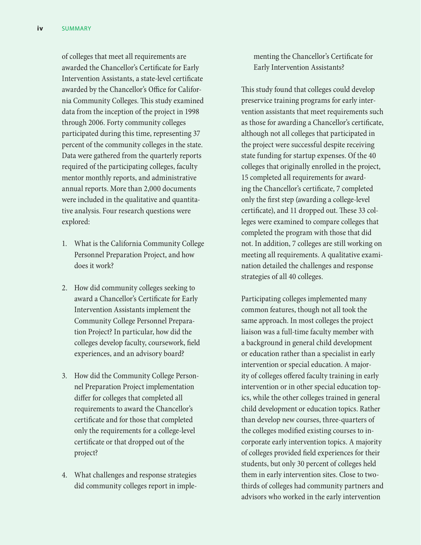of colleges that meet all requirements are awarded the Chancellor's Certificate for Early Intervention Assistants, a state-level certificate awarded by the Chancellor's Office for California Community Colleges. This study examined data from the inception of the project in 1998 through 2006. Forty community colleges participated during this time, representing 37 percent of the community colleges in the state. Data were gathered from the quarterly reports required of the participating colleges, faculty mentor monthly reports, and administrative annual reports. More than 2,000 documents were included in the qualitative and quantitative analysis. Four research questions were explored:

- 1. What is the California Community College Personnel Preparation Project, and how does it work?
- 2. How did community colleges seeking to award a Chancellor's Certificate for Early Intervention Assistants implement the Community College Personnel Preparation Project? In particular, how did the colleges develop faculty, coursework, field experiences, and an advisory board?
- 3. How did the Community College Personnel Preparation Project implementation differ for colleges that completed all requirements to award the Chancellor's certificate and for those that completed only the requirements for a college-level certificate or that dropped out of the project?
- 4. What challenges and response strategies did community colleges report in imple-

menting the Chancellor's Certificate for Early Intervention Assistants?

This study found that colleges could develop preservice training programs for early intervention assistants that meet requirements such as those for awarding a Chancellor's certificate, although not all colleges that participated in the project were successful despite receiving state funding for startup expenses. Of the 40 colleges that originally enrolled in the project, 15 completed all requirements for awarding the Chancellor's certificate, 7 completed only the first step (awarding a college-level certificate), and 11 dropped out. These 33 colleges were examined to compare colleges that completed the program with those that did not. In addition, 7 colleges are still working on meeting all requirements. A qualitative examination detailed the challenges and response strategies of all 40 colleges.

Participating colleges implemented many common features, though not all took the same approach. In most colleges the project liaison was a full-time faculty member with a background in general child development or education rather than a specialist in early intervention or special education. A majority of colleges offered faculty training in early intervention or in other special education topics, while the other colleges trained in general child development or education topics. Rather than develop new courses, three-quarters of the colleges modified existing courses to incorporate early intervention topics. A majority of colleges provided field experiences for their students, but only 30 percent of colleges held them in early intervention sites. Close to twothirds of colleges had community partners and advisors who worked in the early intervention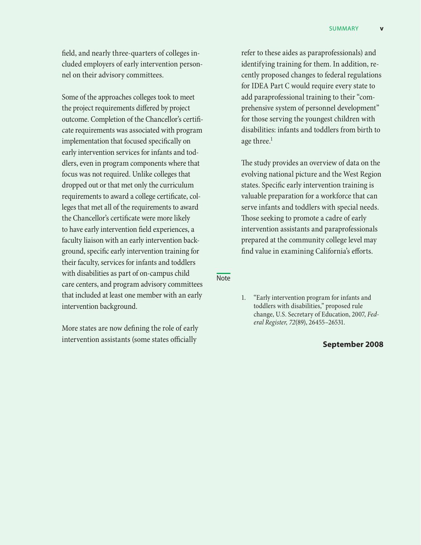field, and nearly three-quarters of colleges included employers of early intervention personnel on their advisory committees.

Some of the approaches colleges took to meet the project requirements differed by project outcome. Completion of the Chancellor's certificate requirements was associated with program implementation that focused specifically on early intervention services for infants and toddlers, even in program components where that focus was not required. Unlike colleges that dropped out or that met only the curriculum requirements to award a college certificate, colleges that met all of the requirements to award the Chancellor's certificate were more likely to have early intervention field experiences, a faculty liaison with an early intervention background, specific early intervention training for their faculty, services for infants and toddlers with disabilities as part of on-campus child care centers, and program advisory committees that included at least one member with an early intervention background.

More states are now defining the role of early intervention assistants (some states officially

refer to these aides as paraprofessionals) and identifying training for them. In addition, recently proposed changes to federal regulations for IDEA Part C would require every state to add paraprofessional training to their "comprehensive system of personnel development" for those serving the youngest children with disabilities: infants and toddlers from birth to age three.<sup>1</sup>

The study provides an overview of data on the evolving national picture and the West Region states. Specific early intervention training is valuable preparation for a workforce that can serve infants and toddlers with special needs. Those seeking to promote a cadre of early intervention assistants and paraprofessionals prepared at the community college level may find value in examining California's efforts.

Note

## **September 2008**

<sup>1.</sup> "Early intervention program for infants and toddlers with disabilities," proposed rule change, U.S. Secretary of Education, 2007, *Federal Register, 72*(89), 26455–26531.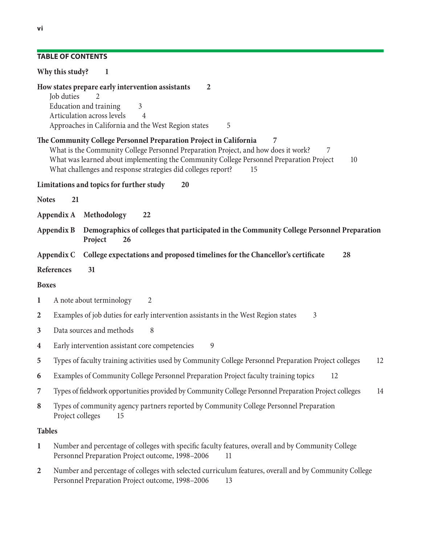## **Table of contents**

|                  | Why this study?<br>$\overline{\phantom{0}}$                                                                                                                                                                                                                                                                                              |  |  |  |  |
|------------------|------------------------------------------------------------------------------------------------------------------------------------------------------------------------------------------------------------------------------------------------------------------------------------------------------------------------------------------|--|--|--|--|
|                  | How states prepare early intervention assistants<br>$\overline{2}$<br>Job duties<br>2<br>Education and training<br>3<br>Articulation across levels<br>$\overline{4}$<br>Approaches in California and the West Region states<br>5                                                                                                         |  |  |  |  |
|                  | The Community College Personnel Preparation Project in California<br>7<br>What is the Community College Personnel Preparation Project, and how does it work?<br>7<br>What was learned about implementing the Community College Personnel Preparation Project<br>10<br>What challenges and response strategies did colleges report?<br>15 |  |  |  |  |
|                  | Limitations and topics for further study<br>20                                                                                                                                                                                                                                                                                           |  |  |  |  |
| <b>Notes</b>     | 21                                                                                                                                                                                                                                                                                                                                       |  |  |  |  |
|                  | Appendix A Methodology<br>22                                                                                                                                                                                                                                                                                                             |  |  |  |  |
|                  | Demographics of colleges that participated in the Community College Personnel Preparation<br>Appendix B<br>Project<br>26                                                                                                                                                                                                                 |  |  |  |  |
|                  | Appendix C College expectations and proposed timelines for the Chancellor's certificate<br>28                                                                                                                                                                                                                                            |  |  |  |  |
|                  | References<br>31                                                                                                                                                                                                                                                                                                                         |  |  |  |  |
| <b>Boxes</b>     |                                                                                                                                                                                                                                                                                                                                          |  |  |  |  |
| 1                | A note about terminology<br>2                                                                                                                                                                                                                                                                                                            |  |  |  |  |
| $\boldsymbol{2}$ | Examples of job duties for early intervention assistants in the West Region states<br>3                                                                                                                                                                                                                                                  |  |  |  |  |
| 3                | Data sources and methods<br>8                                                                                                                                                                                                                                                                                                            |  |  |  |  |
| $\boldsymbol{4}$ | 9<br>Early intervention assistant core competencies                                                                                                                                                                                                                                                                                      |  |  |  |  |
| 5                | Types of faculty training activities used by Community College Personnel Preparation Project colleges<br>12                                                                                                                                                                                                                              |  |  |  |  |
| 6                | Examples of Community College Personnel Preparation Project faculty training topics<br>12                                                                                                                                                                                                                                                |  |  |  |  |
| 7                | Types of fieldwork opportunities provided by Community College Personnel Preparation Project colleges<br>14                                                                                                                                                                                                                              |  |  |  |  |
| $\bf 8$          | Types of community agency partners reported by Community College Personnel Preparation<br>Project colleges<br>15                                                                                                                                                                                                                         |  |  |  |  |
| <b>Tables</b>    |                                                                                                                                                                                                                                                                                                                                          |  |  |  |  |
| $\mathbf{1}$     | Number and percentage of colleges with specific faculty features, overall and by Community College<br>Personnel Preparation Project outcome, 1998-2006<br>11                                                                                                                                                                             |  |  |  |  |

**2** Number and percentage of colleges with selected curriculum features, overall and by Community College Personnel Preparation Project outcome, 1998–2006 13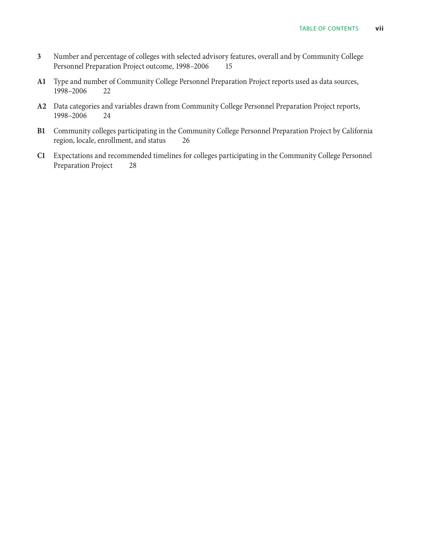- **3** Number and percentage of colleges with selected advisory features, overall and by Community College Personnel Preparation Project outcome, 1998–2006 15
- **A1** Type and number of Community College Personnel Preparation Project reports used as data sources, 1998–2006 22
- **A2** Data categories and variables drawn from Community College Personnel Preparation Project reports, 1998–2006 24
- **B1** Community colleges participating in the Community College Personnel Preparation Project by California region, locale, enrollment, and status 26
- **C1** Expectations and recommended timelines for colleges participating in the Community College Personnel Preparation Project 28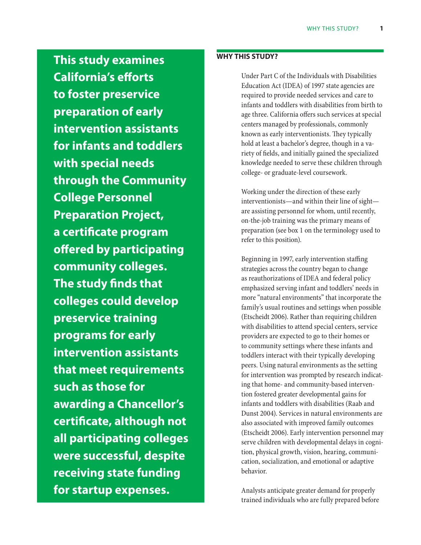**This study examines California's efforts to foster preservice preparation of early intervention assistants for infants and toddlers with special needs through the Community College Personnel Preparation Project, a certificate program offered by participating community colleges. The study finds that colleges could develop preservice training programs for early intervention assistants that meet requirements such as those for awarding a Chancellor's certificate, although not all participating colleges were successful, despite receiving state funding for startup expenses.**

## **Why this study?**

Under Part C of the Individuals with Disabilities Education Act (IDEA) of 1997 state agencies are required to provide needed services and care to infants and toddlers with disabilities from birth to age three. California offers such services at special centers managed by professionals, commonly known as early interventionists. They typically hold at least a bachelor's degree, though in a variety of fields, and initially gained the specialized knowledge needed to serve these children through college- or graduate-level coursework.

Working under the direction of these early interventionists—and within their line of sight are assisting personnel for whom, until recently, on-the-job training was the primary means of preparation (see box 1 on the terminology used to refer to this position).

Beginning in 1997, early intervention staffing strategies across the country began to change as reauthorizations of IDEA and federal policy emphasized serving infant and toddlers' needs in more "natural environments" that incorporate the family's usual routines and settings when possible (Etscheidt 2006). Rather than requiring children with disabilities to attend special centers, service providers are expected to go to their homes or to community settings where these infants and toddlers interact with their typically developing peers. Using natural environments as the setting for intervention was prompted by research indicating that home- and community-based intervention fostered greater developmental gains for infants and toddlers with disabilities (Raab and Dunst 2004). Services in natural environments are also associated with improved family outcomes (Etscheidt 2006). Early intervention personnel may serve children with developmental delays in cognition, physical growth, vision, hearing, communication, socialization, and emotional or adaptive behavior.

Analysts anticipate greater demand for properly trained individuals who are fully prepared before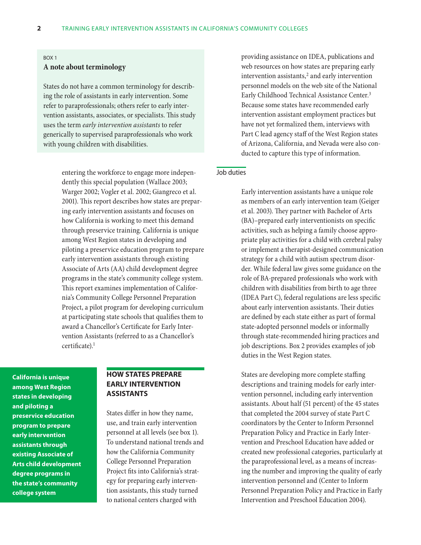#### Box 1

#### **A note about terminology**

States do not have a common terminology for describing the role of assistants in early intervention. Some refer to paraprofessionals; others refer to early intervention assistants, associates, or specialists. This study uses the term *early intervention assistants* to refer generically to supervised paraprofessionals who work with young children with disabilities.

> entering the workforce to engage more independently this special population (Wallace 2003; Warger 2002; Vogler et al. 2002; Giangreco et al. 2001). This report describes how states are preparing early intervention assistants and focuses on how California is working to meet this demand through preservice training. California is unique among West Region states in developing and piloting a preservice education program to prepare early intervention assistants through existing Associate of Arts (AA) child development degree programs in the state's community college system. This report examines implementation of California's Community College Personnel Preparation Project, a pilot program for developing curriculum at participating state schools that qualifies them to award a Chancellor's Certificate for Early Intervention Assistants (referred to as a Chancellor's certificate).<sup>1</sup>

**California is unique among West Region states in developing and piloting a preservice education program to prepare early intervention assistants through existing Associate of Arts child development degree programs in the state's community college system**

## **How states prepare early intervention assistants**

States differ in how they name, use, and train early intervention personnel at all levels (see box 1). To understand national trends and how the California Community College Personnel Preparation Project fits into California's strategy for preparing early intervention assistants, this study turned to national centers charged with

providing assistance on IDEA, publications and web resources on how states are preparing early intervention assistants, $2$  and early intervention personnel models on the web site of the National Early Childhood Technical Assistance Center.<sup>3</sup> Because some states have recommended early intervention assistant employment practices but have not yet formalized them, interviews with Part C lead agency staff of the West Region states of Arizona, California, and Nevada were also conducted to capture this type of information.

#### Job duties

Early intervention assistants have a unique role as members of an early intervention team (Geiger et al. 2003). They partner with Bachelor of Arts (BA)–prepared early interventionists on specific activities, such as helping a family choose appropriate play activities for a child with cerebral palsy or implement a therapist-designed communication strategy for a child with autism spectrum disorder. While federal law gives some guidance on the role of BA-prepared professionals who work with children with disabilities from birth to age three (IDEA Part C), federal regulations are less specific about early intervention assistants. Their duties are defined by each state either as part of formal state-adopted personnel models or informally through state-recommended hiring practices and job descriptions. Box 2 provides examples of job duties in the West Region states.

States are developing more complete staffing descriptions and training models for early intervention personnel, including early intervention assistants. About half (51 percent) of the 45 states that completed the 2004 survey of state Part C coordinators by the Center to Inform Personnel Preparation Policy and Practice in Early Intervention and Preschool Education have added or created new professional categories, particularly at the paraprofessional level, as a means of increasing the number and improving the quality of early intervention personnel and (Center to Inform Personnel Preparation Policy and Practice in Early Intervention and Preschool Education 2004).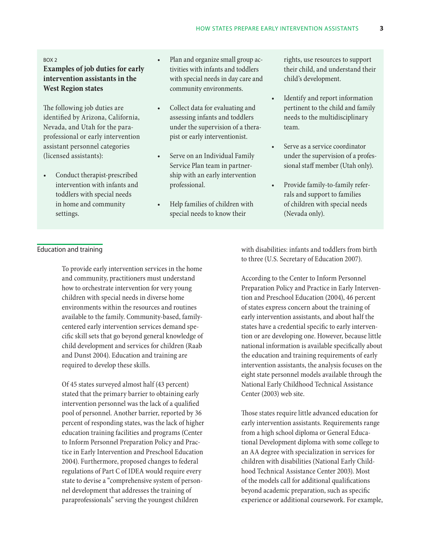#### Box 2

## **Examples of job duties for early intervention assistants in the West Region states**

The following job duties are identified by Arizona, California, Nevada, and Utah for the paraprofessional or early intervention assistant personnel categories (licensed assistants):

Conduct therapist-prescribed intervention with infants and toddlers with special needs in home and community settings.

- Plan and organize small group activities with infants and toddlers with special needs in day care and community environments.
- Collect data for evaluating and assessing infants and toddlers under the supervision of a therapist or early interventionist.
- • Serve on an Individual Family Service Plan team in partnership with an early intervention professional.
- Help families of children with special needs to know their

rights, use resources to support their child, and understand their child's development.

- • Identify and report information pertinent to the child and family needs to the multidisciplinary team.
- Serve as a service coordinator under the supervision of a professional staff member (Utah only).
- • Provide family-to-family referrals and support to families of children with special needs (Nevada only).

#### Education and training

To provide early intervention services in the home and community, practitioners must understand how to orchestrate intervention for very young children with special needs in diverse home environments within the resources and routines available to the family. Community-based, familycentered early intervention services demand specific skill sets that go beyond general knowledge of child development and services for children (Raab and Dunst 2004). Education and training are required to develop these skills.

Of 45 states surveyed almost half (43 percent) stated that the primary barrier to obtaining early intervention personnel was the lack of a qualified pool of personnel. Another barrier, reported by 36 percent of responding states, was the lack of higher education training facilities and programs (Center to Inform Personnel Preparation Policy and Practice in Early Intervention and Preschool Education 2004). Furthermore, proposed changes to federal regulations of Part C of IDEA would require every state to devise a "comprehensive system of personnel development that addresses the training of paraprofessionals" serving the youngest children

with disabilities: infants and toddlers from birth to three (U.S. Secretary of Education 2007).

According to the Center to Inform Personnel Preparation Policy and Practice in Early Intervention and Preschool Education (2004), 46 percent of states express concern about the training of early intervention assistants, and about half the states have a credential specific to early intervention or are developing one. However, because little national information is available specifically about the education and training requirements of early intervention assistants, the analysis focuses on the eight state personnel models available through the National Early Childhood Technical Assistance Center (2003) web site.

Those states require little advanced education for early intervention assistants. Requirements range from a high school diploma or General Educational Development diploma with some college to an AA degree with specialization in services for children with disabilities (National Early Childhood Technical Assistance Center 2003). Most of the models call for additional qualifications beyond academic preparation, such as specific experience or additional coursework. For example,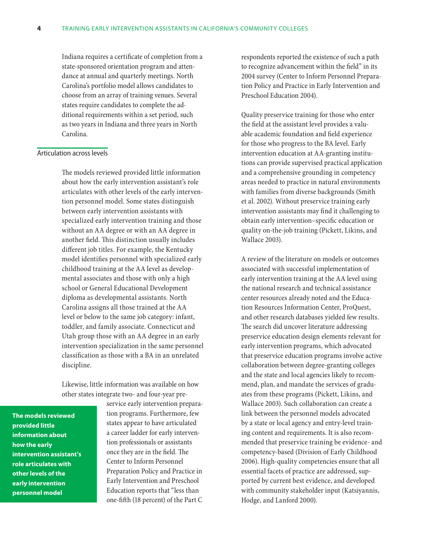Indiana requires a certificate of completion from a state-sponsored orientation program and attendance at annual and quarterly meetings. North Carolina's portfolio model allows candidates to choose from an array of training venues. Several states require candidates to complete the additional requirements within a set period, such as two years in Indiana and three years in North Carolina.

#### Articulation across levels

The models reviewed provided little information about how the early intervention assistant's role articulates with other levels of the early intervention personnel model. Some states distinguish between early intervention assistants with specialized early intervention training and those without an AA degree or with an AA degree in another field. This distinction usually includes different job titles. For example, the Kentucky model identifies personnel with specialized early childhood training at the AA level as developmental associates and those with only a high school or General Educational Development diploma as developmental assistants. North Carolina assigns all those trained at the AA level or below to the same job category: infant, toddler, and family associate. Connecticut and Utah group those with an AA degree in an early intervention specialization in the same personnel classification as those with a BA in an unrelated discipline.

Likewise, little information was available on how other states integrate two- and four-year pre-

**The models reviewed provided little information about how the early intervention assistant's role articulates with other levels of the early intervention personnel model**

service early intervention preparation programs. Furthermore, few states appear to have articulated a career ladder for early intervention professionals or assistants once they are in the field. The Center to Inform Personnel Preparation Policy and Practice in Early Intervention and Preschool Education reports that "less than one-fifth (18 percent) of the Part C

respondents reported the existence of such a path to recognize advancement within the field" in its 2004 survey (Center to Inform Personnel Preparation Policy and Practice in Early Intervention and Preschool Education 2004).

Quality preservice training for those who enter the field at the assistant level provides a valuable academic foundation and field experience for those who progress to the BA level. Early intervention education at AA-granting institutions can provide supervised practical application and a comprehensive grounding in competency areas needed to practice in natural environments with families from diverse backgrounds (Smith et al. 2002). Without preservice training early intervention assistants may find it challenging to obtain early intervention–specific education or quality on-the-job training (Pickett, Likins, and Wallace 2003).

A review of the literature on models or outcomes associated with successful implementation of early intervention training at the AA level using the national research and technical assistance center resources already noted and the Education Resources Information Center, ProQuest, and other research databases yielded few results. The search did uncover literature addressing preservice education design elements relevant for early intervention programs, which advocated that preservice education programs involve active collaboration between degree-granting colleges and the state and local agencies likely to recommend, plan, and mandate the services of graduates from these programs (Pickett, Likins, and Wallace 2003). Such collaboration can create a link between the personnel models advocated by a state or local agency and entry-level training content and requirements. It is also recommended that preservice training be evidence- and competency-based (Division of Early Childhood 2006). High-quality competencies ensure that all essential facets of practice are addressed, supported by current best evidence, and developed with community stakeholder input (Katsiyannis, Hodge, and Lanford 2000).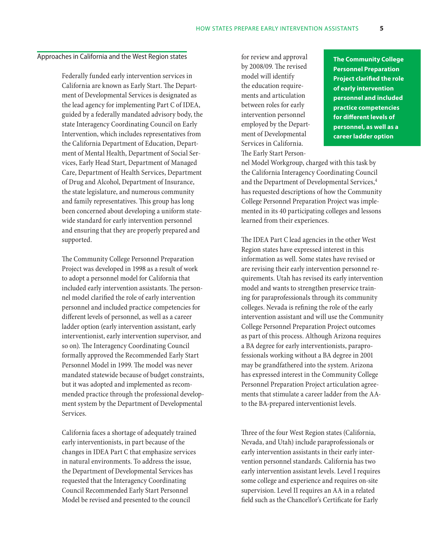#### Approaches in California and the West Region states

Federally funded early intervention services in California are known as Early Start. The Department of Developmental Services is designated as the lead agency for implementing Part C of IDEA, guided by a federally mandated advisory body, the state Interagency Coordinating Council on Early Intervention, which includes representatives from the California Department of Education, Department of Mental Health, Department of Social Services, Early Head Start, Department of Managed Care, Department of Health Services, Department of Drug and Alcohol, Department of Insurance, the state legislature, and numerous community and family representatives. This group has long been concerned about developing a uniform statewide standard for early intervention personnel and ensuring that they are properly prepared and supported.

The Community College Personnel Preparation Project was developed in 1998 as a result of work to adopt a personnel model for California that included early intervention assistants. The personnel model clarified the role of early intervention personnel and included practice competencies for different levels of personnel, as well as a career ladder option (early intervention assistant, early interventionist, early intervention supervisor, and so on). The Interagency Coordinating Council formally approved the Recommended Early Start Personnel Model in 1999. The model was never mandated statewide because of budget constraints, but it was adopted and implemented as recommended practice through the professional development system by the Department of Developmental Services.

California faces a shortage of adequately trained early interventionists, in part because of the changes in IDEA Part C that emphasize services in natural environments. To address the issue, the Department of Developmental Services has requested that the Interagency Coordinating Council Recommended Early Start Personnel Model be revised and presented to the council

for review and approval by 2008/09. The revised model will identify the education requirements and articulation between roles for early intervention personnel employed by the Department of Developmental Services in California. The Early Start Person-

**The Community College Personnel Preparation Project clarified the role of early intervention personnel and included practice competencies for different levels of personnel, as well as a career ladder option**

nel Model Workgroup, charged with this task by the California Interagency Coordinating Council and the Department of Developmental Services,<sup>4</sup> has requested descriptions of how the Community College Personnel Preparation Project was implemented in its 40 participating colleges and lessons learned from their experiences.

The IDEA Part C lead agencies in the other West Region states have expressed interest in this information as well. Some states have revised or are revising their early intervention personnel requirements. Utah has revised its early intervention model and wants to strengthen preservice training for paraprofessionals through its community colleges. Nevada is refining the role of the early intervention assistant and will use the Community College Personnel Preparation Project outcomes as part of this process. Although Arizona requires a BA degree for early interventionists, paraprofessionals working without a BA degree in 2001 may be grandfathered into the system. Arizona has expressed interest in the Community College Personnel Preparation Project articulation agreements that stimulate a career ladder from the AAto the BA-prepared interventionist levels.

Three of the four West Region states (California, Nevada, and Utah) include paraprofessionals or early intervention assistants in their early intervention personnel standards. California has two early intervention assistant levels. Level I requires some college and experience and requires on-site supervision. Level II requires an AA in a related field such as the Chancellor's Certificate for Early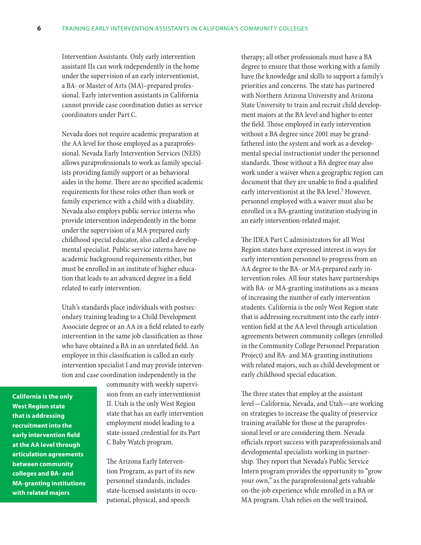Intervention Assistants. Only early intervention assistant IIs can work independently in the home under the supervision of an early interventionist, a BA- or Master of Arts (MA)–prepared professional. Early intervention assistants in California cannot provide case coordination duties as service coordinators under Part C.

Nevada does not require academic preparation at the AA level for those employed as a paraprofessional. Nevada Early Intervention Services (NEIS) allows paraprofessionals to work as family specialists providing family support or as behavioral aides in the home. There are no specified academic requirements for these roles other than work or family experience with a child with a disability. Nevada also employs public service interns who provide intervention independently in the home under the supervision of a MA-prepared early childhood special educator, also called a developmental specialist. Public service interns have no academic background requirements either, but must be enrolled in an institute of higher education that leads to an advanced degree in a field related to early intervention.

Utah's standards place individuals with postsecondary training leading to a Child Development Associate degree or an AA in a field related to early intervention in the same job classification as those who have obtained a BA in an unrelated field. An employee in this classification is called an early intervention specialist I and may provide intervention and case coordination independently in the

**California is the only West Region state that is addressing recruitment into the early intervention field at the AA level through articulation agreements between community colleges and BA- and MA-granting institutions with related majors**

community with weekly supervision from an early interventionist II. Utah is the only West Region state that has an early intervention employment model leading to a state-issued credential for its Part C Baby Watch program.

The Arizona Early Intervention Program, as part of its new personnel standards, includes state-licensed assistants in occupational, physical, and speech

therapy; all other professionals must have a BA degree to ensure that those working with a family have the knowledge and skills to support a family's priorities and concerns. The state has partnered with Northern Arizona University and Arizona State University to train and recruit child development majors at the BA level and higher to enter the field. Those employed in early intervention without a BA degree since 2001 may be grandfathered into the system and work as a developmental special instructionist under the personnel standards. Those without a BA degree may also work under a waiver when a geographic region can document that they are unable to find a qualified early interventionist at the BA level.<sup>5</sup> However, personnel employed with a waiver must also be enrolled in a BA-granting institution studying in an early intervention-related major.

The IDEA Part C administrators for all West Region states have expressed interest in ways for early intervention personnel to progress from an AA degree to the BA- or MA-prepared early intervention roles. All four states have partnerships with BA- or MA-granting institutions as a means of increasing the number of early intervention students. California is the only West Region state that is addressing recruitment into the early intervention field at the AA level through articulation agreements between community colleges (enrolled in the Community College Personnel Preparation Project) and BA- and MA-granting institutions with related majors, such as child development or early childhood special education.

The three states that employ at the assistant level—California, Nevada, and Utah—are working on strategies to increase the quality of preservice training available for those at the paraprofessional level or are considering them. Nevada officials report success with paraprofessionals and developmental specialists working in partnership. They report that Nevada's Public Service Intern program provides the opportunity to "grow your own," as the paraprofessional gets valuable on-the-job experience while enrolled in a BA or MA program. Utah relies on the well trained,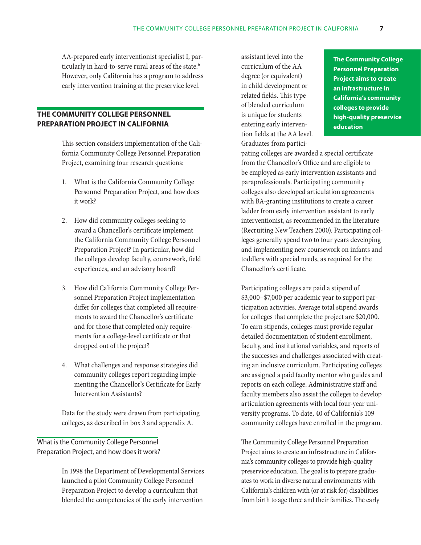AA-prepared early interventionist specialist I, particularly in hard-to-serve rural areas of the state.<sup>6</sup> However, only California has a program to address early intervention training at the preservice level.

## **The Community College Personnel Preparation Project in California**

This section considers implementation of the California Community College Personnel Preparation Project, examining four research questions:

- 1. What is the California Community College Personnel Preparation Project, and how does it work?
- 2. How did community colleges seeking to award a Chancellor's certificate implement the California Community College Personnel Preparation Project? In particular, how did the colleges develop faculty, coursework, field experiences, and an advisory board?
- 3. How did California Community College Personnel Preparation Project implementation differ for colleges that completed all requirements to award the Chancellor's certificate and for those that completed only requirements for a college-level certificate or that dropped out of the project?
- 4. What challenges and response strategies did community colleges report regarding implementing the Chancellor's Certificate for Early Intervention Assistants?

Data for the study were drawn from participating colleges, as described in box 3 and appendix A.

## What is the Community College Personnel Preparation Project, and how does it work?

In 1998 the Department of Developmental Services launched a pilot Community College Personnel Preparation Project to develop a curriculum that blended the competencies of the early intervention

assistant level into the curriculum of the AA degree (or equivalent) in child development or related fields. This type of blended curriculum is unique for students entering early intervention fields at the AA level. Graduates from partici-

**The Community College Personnel Preparation Project aims to create an infrastructure in California's community colleges to provide high-quality preservice education**

pating colleges are awarded a special certificate from the Chancellor's Office and are eligible to be employed as early intervention assistants and paraprofessionals. Participating community colleges also developed articulation agreements with BA-granting institutions to create a career ladder from early intervention assistant to early interventionist, as recommended in the literature (Recruiting New Teachers 2000). Participating colleges generally spend two to four years developing and implementing new coursework on infants and toddlers with special needs, as required for the Chancellor's certificate.

Participating colleges are paid a stipend of \$3,000–\$7,000 per academic year to support participation activities. Average total stipend awards for colleges that complete the project are \$20,000. To earn stipends, colleges must provide regular detailed documentation of student enrollment, faculty, and institutional variables, and reports of the successes and challenges associated with creating an inclusive curriculum. Participating colleges are assigned a paid faculty mentor who guides and reports on each college. Administrative staff and faculty members also assist the colleges to develop articulation agreements with local four-year university programs. To date, 40 of California's 109 community colleges have enrolled in the program.

The Community College Personnel Preparation Project aims to create an infrastructure in California's community colleges to provide high-quality preservice education. The goal is to prepare graduates to work in diverse natural environments with California's children with (or at risk for) disabilities from birth to age three and their families. The early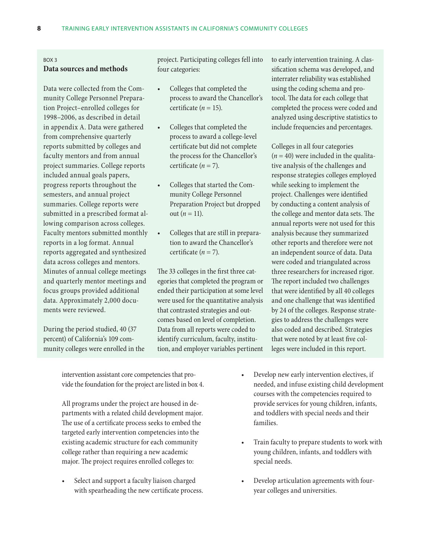#### Box 3

## **Data sources and methods**

Data were collected from the Community College Personnel Preparation Project–enrolled colleges for 1998–2006, as described in detail in appendix A. Data were gathered from comprehensive quarterly reports submitted by colleges and faculty mentors and from annual project summaries. College reports included annual goals papers, progress reports throughout the semesters, and annual project summaries. College reports were submitted in a prescribed format allowing comparison across colleges. Faculty mentors submitted monthly reports in a log format. Annual reports aggregated and synthesized data across colleges and mentors. Minutes of annual college meetings and quarterly mentor meetings and focus groups provided additional data. Approximately 2,000 documents were reviewed.

During the period studied, 40 (37 percent) of California's 109 community colleges were enrolled in the project. Participating colleges fell into four categories:

- Colleges that completed the process to award the Chancellor's certificate  $(n = 15)$ .
- • Colleges that completed the process to award a college-level certificate but did not complete the process for the Chancellor's certificate  $(n = 7)$ .
- • Colleges that started the Community College Personnel Preparation Project but dropped out  $(n = 11)$ .
- • Colleges that are still in preparation to award the Chancellor's certificate  $(n = 7)$ .

The 33 colleges in the first three categories that completed the program or ended their participation at some level were used for the quantitative analysis that contrasted strategies and outcomes based on level of completion. Data from all reports were coded to identify curriculum, faculty, institution, and employer variables pertinent

to early intervention training. A classification schema was developed, and interrater reliability was established using the coding schema and protocol. The data for each college that completed the process were coded and analyzed using descriptive statistics to include frequencies and percentages.

Colleges in all four categories  $(n = 40)$  were included in the qualitative analysis of the challenges and response strategies colleges employed while seeking to implement the project. Challenges were identified by conducting a content analysis of the college and mentor data sets. The annual reports were not used for this analysis because they summarized other reports and therefore were not an independent source of data. Data were coded and triangulated across three researchers for increased rigor. The report included two challenges that were identified by all 40 colleges and one challenge that was identified by 24 of the colleges. Response strategies to address the challenges were also coded and described. Strategies that were noted by at least five colleges were included in this report.

intervention assistant core competencies that provide the foundation for the project are listed in box 4.

All programs under the project are housed in departments with a related child development major. The use of a certificate process seeks to embed the targeted early intervention competencies into the existing academic structure for each community college rather than requiring a new academic major. The project requires enrolled colleges to:

Select and support a faculty liaison charged with spearheading the new certificate process.

- Develop new early intervention electives, if needed, and infuse existing child development courses with the competencies required to provide services for young children, infants, and toddlers with special needs and their families.
- Train faculty to prepare students to work with young children, infants, and toddlers with special needs.
- Develop articulation agreements with fouryear colleges and universities.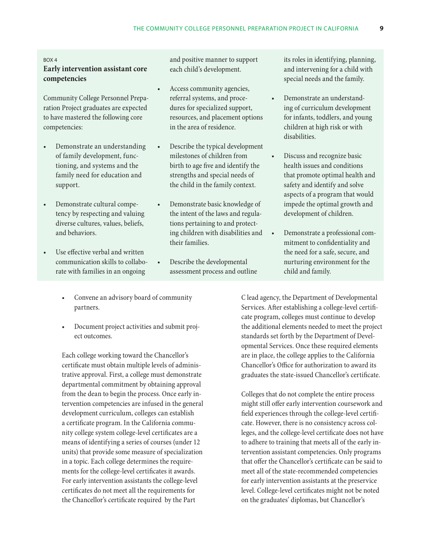#### Box 4

## **Early intervention assistant core competencies**

Community College Personnel Preparation Project graduates are expected to have mastered the following core competencies:

- Demonstrate an understanding of family development, functioning, and systems and the family need for education and support.
- • Demonstrate cultural competency by respecting and valuing diverse cultures, values, beliefs, and behaviors.
- Use effective verbal and written communication skills to collaborate with families in an ongoing
	- Convene an advisory board of community partners.
	- Document project activities and submit project outcomes.

Each college working toward the Chancellor's certificate must obtain multiple levels of administrative approval. First, a college must demonstrate departmental commitment by obtaining approval from the dean to begin the process. Once early intervention competencies are infused in the general development curriculum, colleges can establish a certificate program. In the California community college system college-level certificates are a means of identifying a series of courses (under 12 units) that provide some measure of specialization in a topic. Each college determines the requirements for the college-level certificates it awards. For early intervention assistants the college-level certificates do not meet all the requirements for the Chancellor's certificate required by the Part

and positive manner to support each child's development.

- Access community agencies, referral systems, and procedures for specialized support, resources, and placement options in the area of residence.
- Describe the typical development milestones of children from birth to age five and identify the strengths and special needs of the child in the family context.
- Demonstrate basic knowledge of the intent of the laws and regulations pertaining to and protecting children with disabilities and their families.
- Describe the developmental assessment process and outline

its roles in identifying, planning, and intervening for a child with special needs and the family.

- Demonstrate an understanding of curriculum development for infants, toddlers, and young children at high risk or with disabilities.
- Discuss and recognize basic health issues and conditions that promote optimal health and safety and identify and solve aspects of a program that would impede the optimal growth and development of children.
	- Demonstrate a professional commitment to confidentiality and the need for a safe, secure, and nurturing environment for the child and family.

C lead agency, the Department of Developmental Services. After establishing a college-level certificate program, colleges must continue to develop the additional elements needed to meet the project standards set forth by the Department of Developmental Services. Once these required elements are in place, the college applies to the California Chancellor's Office for authorization to award its graduates the state-issued Chancellor's certificate.

Colleges that do not complete the entire process might still offer early intervention coursework and field experiences through the college-level certificate. However, there is no consistency across colleges, and the college-level certificate does not have to adhere to training that meets all of the early intervention assistant competencies. Only programs that offer the Chancellor's certificate can be said to meet all of the state-recommended competencies for early intervention assistants at the preservice level. College-level certificates might not be noted on the graduates' diplomas, but Chancellor's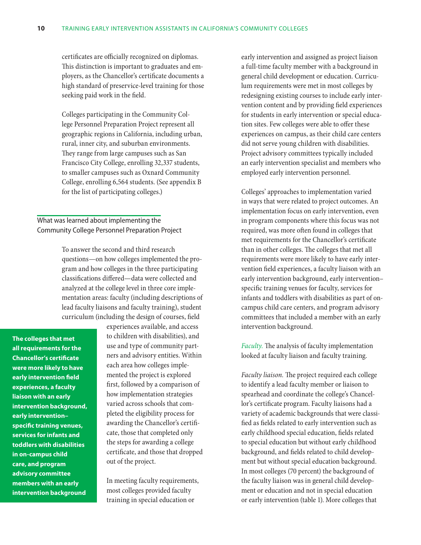certificates are officially recognized on diplomas. This distinction is important to graduates and employers, as the Chancellor's certificate documents a high standard of preservice-level training for those seeking paid work in the field.

Colleges participating in the Community College Personnel Preparation Project represent all geographic regions in California, including urban, rural, inner city, and suburban environments. They range from large campuses such as San Francisco City College, enrolling 32,337 students, to smaller campuses such as Oxnard Community College, enrolling 6,564 students. (See appendix B for the list of participating colleges.)

What was learned about implementing the Community College Personnel Preparation Project

> To answer the second and third research questions—on how colleges implemented the program and how colleges in the three participating classifications differed—data were collected and analyzed at the college level in three core implementation areas: faculty (including descriptions of lead faculty liaisons and faculty training), student curriculum (including the design of courses, field

**The colleges that met all requirements for the Chancellor's certificate were more likely to have early intervention field experiences, a faculty liaison with an early intervention background, early intervention– specific training venues, services for infants and toddlers with disabilities in on-campus child care, and program advisory committee members with an early intervention background**

experiences available, and access to children with disabilities), and use and type of community partners and advisory entities. Within each area how colleges implemented the project is explored first, followed by a comparison of how implementation strategies varied across schools that completed the eligibility process for awarding the Chancellor's certificate, those that completed only the steps for awarding a college certificate, and those that dropped out of the project.

In meeting faculty requirements, most colleges provided faculty training in special education or

early intervention and assigned as project liaison a full-time faculty member with a background in general child development or education. Curriculum requirements were met in most colleges by redesigning existing courses to include early intervention content and by providing field experiences for students in early intervention or special education sites. Few colleges were able to offer these experiences on campus, as their child care centers did not serve young children with disabilities. Project advisory committees typically included an early intervention specialist and members who employed early intervention personnel.

Colleges' approaches to implementation varied in ways that were related to project outcomes. An implementation focus on early intervention, even in program components where this focus was not required, was more often found in colleges that met requirements for the Chancellor's certificate than in other colleges. The colleges that met all requirements were more likely to have early intervention field experiences, a faculty liaison with an early intervention background, early intervention– specific training venues for faculty, services for infants and toddlers with disabilities as part of oncampus child care centers, and program advisory committees that included a member with an early intervention background.

*Faculty.* The analysis of faculty implementation looked at faculty liaison and faculty training.

*Faculty liaison.* The project required each college to identify a lead faculty member or liaison to spearhead and coordinate the college's Chancellor's certificate program. Faculty liaisons had a variety of academic backgrounds that were classified as fields related to early intervention such as early childhood special education, fields related to special education but without early childhood background, and fields related to child development but without special education background. In most colleges (70 percent) the background of the faculty liaison was in general child development or education and not in special education or early intervention (table 1). More colleges that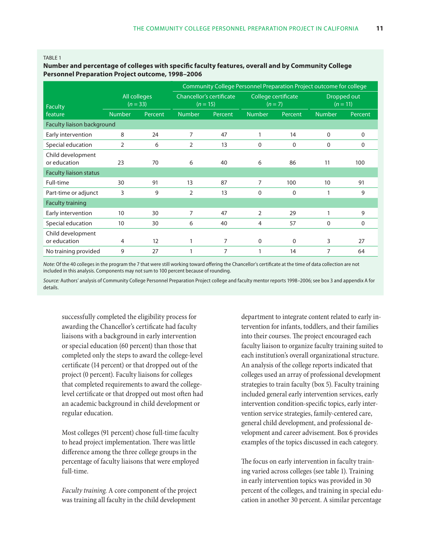#### TABI F 1

### **Number and percentage of colleges with specific faculty features, overall and by Community College Personnel Preparation Project outcome, 1998–2006**

|                                   |                            |         |                                        |         | Community College Personnel Preparation Project outcome for college |              |                           |          |
|-----------------------------------|----------------------------|---------|----------------------------------------|---------|---------------------------------------------------------------------|--------------|---------------------------|----------|
| <b>Faculty</b>                    | All colleges<br>$(n = 33)$ |         | Chancellor's certificate<br>$(n = 15)$ |         | College certificate<br>$(n=7)$                                      |              | Dropped out<br>$(n = 11)$ |          |
| feature                           | <b>Number</b>              | Percent | <b>Number</b>                          | Percent | <b>Number</b>                                                       | Percent      | <b>Number</b>             | Percent  |
| Faculty liaison background        |                            |         |                                        |         |                                                                     |              |                           |          |
| Early intervention                | 8                          | 24      | 7                                      | 47      | 1                                                                   | 14           | $\Omega$                  | $\Omega$ |
| Special education                 | $\overline{2}$             | 6       | 2                                      | 13      | $\Omega$                                                            | $\mathbf{0}$ | $\Omega$                  | 0        |
| Child development<br>or education | 23                         | 70      | 6                                      | 40      | 6                                                                   | 86           | 11                        | 100      |
| Faculty liaison status            |                            |         |                                        |         |                                                                     |              |                           |          |
| Full-time                         | 30                         | 91      | 13                                     | 87      | 7                                                                   | 100          | 10                        | 91       |
| Part-time or adjunct              | 3                          | 9       | $\overline{2}$                         | 13      | $\Omega$                                                            | $\Omega$     | 1                         | 9        |
| <b>Faculty training</b>           |                            |         |                                        |         |                                                                     |              |                           |          |
| Early intervention                | 10                         | 30      | 7                                      | 47      | $\overline{2}$                                                      | 29           | 1                         | 9        |
| Special education                 | 10                         | 30      | 6                                      | 40      | 4                                                                   | 57           | $\Omega$                  | $\Omega$ |
| Child development<br>or education | 4                          | 12      |                                        | 7       | $\Omega$                                                            | $\Omega$     | 3                         | 27       |
| No training provided              | 9                          | 27      |                                        | 7       |                                                                     | 14           | 7                         | 64       |

*Note:* Of the 40 colleges in the program the 7 that were still working toward offering the Chancellor's certificate at the time of data collection are not included in this analysis. Components may not sum to 100 percent because of rounding.

*Source:* Authors' analysis of Community College Personnel Preparation Project college and faculty mentor reports 1998–2006; see box 3 and appendix A for details.

successfully completed the eligibility process for awarding the Chancellor's certificate had faculty liaisons with a background in early intervention or special education (60 percent) than those that completed only the steps to award the college-level certificate (14 percent) or that dropped out of the project (0 percent). Faculty liaisons for colleges that completed requirements to award the collegelevel certificate or that dropped out most often had an academic background in child development or regular education.

Most colleges (91 percent) chose full-time faculty to head project implementation. There was little difference among the three college groups in the percentage of faculty liaisons that were employed full-time.

*Faculty training.* A core component of the project was training all faculty in the child development

department to integrate content related to early intervention for infants, toddlers, and their families into their courses. The project encouraged each faculty liaison to organize faculty training suited to each institution's overall organizational structure. An analysis of the college reports indicated that colleges used an array of professional development strategies to train faculty (box 5). Faculty training included general early intervention services, early intervention condition-specific topics, early intervention service strategies, family-centered care, general child development, and professional development and career advisement. Box 6 provides examples of the topics discussed in each category.

The focus on early intervention in faculty training varied across colleges (see table 1). Training in early intervention topics was provided in 30 percent of the colleges, and training in special education in another 30 percent. A similar percentage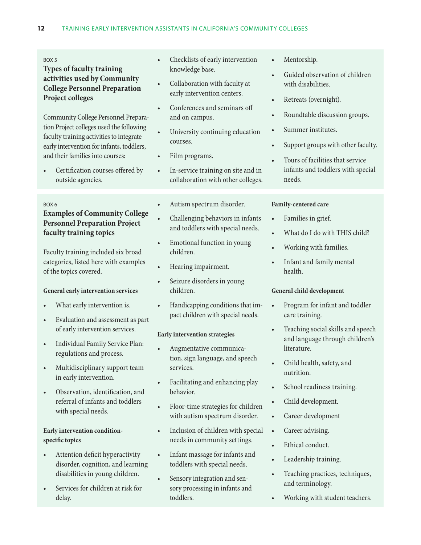## **Types of faculty training activities used by Community College Personnel Preparation Project colleges**

Community College Personnel Preparation Project colleges used the following faculty training activities to integrate early intervention for infants, toddlers, and their families into courses:

Certification courses offered by outside agencies.

#### Box 6

## **Examples of Community College Personnel Preparation Project faculty training topics**

Faculty training included six broad categories, listed here with examples of the topics covered.

## **General early intervention services**

- What early intervention is.
- • Evaluation and assessment as part of early intervention services.
- • Individual Family Service Plan: regulations and process.
- Multidisciplinary support team in early intervention.
- • Observation, identification, and referral of infants and toddlers with special needs.

## **Early intervention conditionspecific topics**

- • Attention deficit hyperactivity disorder, cognition, and learning disabilities in young children.
- Services for children at risk for delay.
- Checklists of early intervention knowledge base.
- Collaboration with faculty at early intervention centers.
- Conferences and seminars off and on campus.
- University continuing education courses.
- Film programs.
- In-service training on site and in collaboration with other colleges.
- Autism spectrum disorder.
- Challenging behaviors in infants and toddlers with special needs.
- Emotional function in young children.
- Hearing impairment.
- Seizure disorders in young children.
- Handicapping conditions that impact children with special needs.

## **Early intervention strategies**

- Augmentative communication, sign language, and speech services.
- • Facilitating and enhancing play behavior.
- Floor-time strategies for children with autism spectrum disorder.
- Inclusion of children with special needs in community settings.
- Infant massage for infants and toddlers with special needs.
- Sensory integration and sensory processing in infants and toddlers.
- Mentorship.
- Guided observation of children with disabilities.
- Retreats (overnight).
- • Roundtable discussion groups.
- • Summer institutes.
- Support groups with other faculty.
- Tours of facilities that service infants and toddlers with special needs.

## **Family-centered care**

- • Families in grief.
- What do I do with THIS child?
- Working with families.
- • Infant and family mental health.

## **General child development**

- • Program for infant and toddler care training.
- • Teaching social skills and speech and language through children's literature.
- Child health, safety, and nutrition.
- • School readiness training.
- Child development.
- • Career development
- Career advising.
- Ethical conduct.
- Leadership training.
- • Teaching practices, techniques, and terminology.
- Working with student teachers.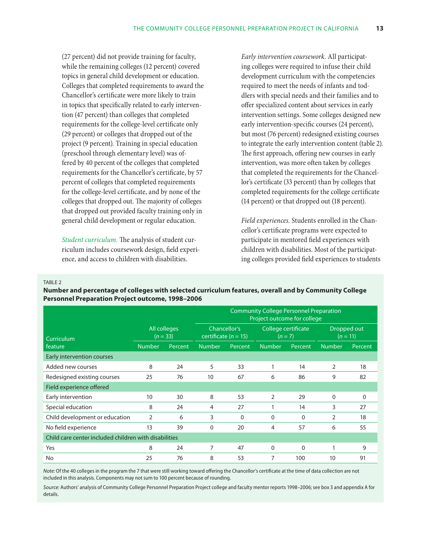(27 percent) did not provide training for faculty, while the remaining colleges (12 percent) covered topics in general child development or education. Colleges that completed requirements to award the Chancellor's certificate were more likely to train in topics that specifically related to early intervention (47 percent) than colleges that completed requirements for the college-level certificate only (29 percent) or colleges that dropped out of the project (9 percent). Training in special education (preschool through elementary level) was offered by 40 percent of the colleges that completed requirements for the Chancellor's certificate, by 57 percent of colleges that completed requirements for the college-level certificate, and by none of the colleges that dropped out. The majority of colleges that dropped out provided faculty training only in general child development or regular education.

*Student curriculum.* The analysis of student curriculum includes coursework design, field experience, and access to children with disabilities.

*Early intervention coursework.* All participating colleges were required to infuse their child development curriculum with the competencies required to meet the needs of infants and toddlers with special needs and their families and to offer specialized content about services in early intervention settings. Some colleges designed new early intervention-specific courses (24 percent), but most (76 percent) redesigned existing courses to integrate the early intervention content (table 2). The first approach, offering new courses in early intervention, was more often taken by colleges that completed the requirements for the Chancellor's certificate (33 percent) than by colleges that completed requirements for the college certificate (14 percent) or that dropped out (18 percent).

*Field experiences.* Students enrolled in the Chancellor's certificate programs were expected to participate in mentored field experiences with children with disabilities. Most of the participating colleges provided field experiences to students

TABI F 2

**Number and percentage of colleges with selected curriculum features, overall and by Community College Personnel Preparation Project outcome, 1998–2006**

|                                                       |               |                            | <b>Community College Personnel Preparation</b><br>Project outcome for college |              |                                |              |               |                |
|-------------------------------------------------------|---------------|----------------------------|-------------------------------------------------------------------------------|--------------|--------------------------------|--------------|---------------|----------------|
| Curriculum                                            |               | All colleges<br>$(n = 33)$ | certificate $(n = 15)$                                                        | Chancellor's | College certificate<br>$(n=7)$ |              | Dropped out   | $(n = 11)$     |
| feature                                               | <b>Number</b> | <b>Percent</b>             | <b>Number</b>                                                                 | Percent      | <b>Number</b>                  | Percent      | <b>Number</b> | <b>Percent</b> |
| Early intervention courses                            |               |                            |                                                                               |              |                                |              |               |                |
| Added new courses                                     | 8             | 24                         | 5                                                                             | 33           | 1                              | 14           | 2             | 18             |
| Redesigned existing courses                           | 25            | 76                         | 10                                                                            | 67           | 6                              | 86           | 9             | 82             |
| Field experience offered                              |               |                            |                                                                               |              |                                |              |               |                |
| Early intervention                                    | 10            | 30                         | 8                                                                             | 53           | $\overline{2}$                 | 29           | 0             | 0              |
| Special education                                     | 8             | 24                         | 4                                                                             | 27           |                                | 14           | 3             | 27             |
| Child development or education                        | 2             | 6                          | 3                                                                             | $\Omega$     | $\Omega$                       | $\Omega$     | 2             | 18             |
| No field experience                                   | 13            | 39                         | $\Omega$                                                                      | 20           | 4                              | 57           | 6             | 55             |
| Child care center included children with disabilities |               |                            |                                                                               |              |                                |              |               |                |
| Yes                                                   | 8             | 24                         | 7                                                                             | 47           | $\Omega$                       | $\mathbf{0}$ |               | 9              |
| No                                                    | 25            | 76                         | 8                                                                             | 53           | 7                              | 100          | 10            | 91             |

*Note:* Of the 40 colleges in the program the 7 that were still working toward offering the Chancellor's certificate at the time of data collection are not included in this analysis. Components may not sum to 100 percent because of rounding.

*Source:* Authors' analysis of Community College Personnel Preparation Project college and faculty mentor reports 1998–2006; see box 3 and appendix A for details.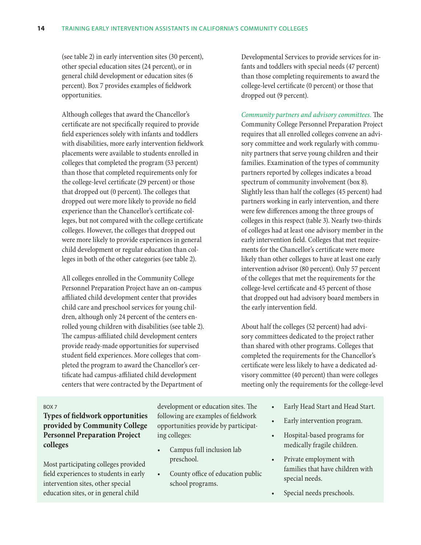(see table 2) in early intervention sites (30 percent), other special education sites (24 percent), or in general child development or education sites (6 percent). Box 7 provides examples of fieldwork opportunities.

Although colleges that award the Chancellor's certificate are not specifically required to provide field experiences solely with infants and toddlers with disabilities, more early intervention fieldwork placements were available to students enrolled in colleges that completed the program (53 percent) than those that completed requirements only for the college-level certificate (29 percent) or those that dropped out (0 percent). The colleges that dropped out were more likely to provide no field experience than the Chancellor's certificate colleges, but not compared with the college certificate colleges. However, the colleges that dropped out were more likely to provide experiences in general child development or regular education than colleges in both of the other categories (see table 2).

All colleges enrolled in the Community College Personnel Preparation Project have an on-campus affiliated child development center that provides child care and preschool services for young children, although only 24 percent of the centers enrolled young children with disabilities (see table 2). The campus-affiliated child development centers provide ready-made opportunities for supervised student field experiences. More colleges that completed the program to award the Chancellor's certificate had campus-affiliated child development centers that were contracted by the Department of

Developmental Services to provide services for infants and toddlers with special needs (47 percent) than those completing requirements to award the college-level certificate (0 percent) or those that dropped out (9 percent).

*Community partners and advisory committees.* The Community College Personnel Preparation Project requires that all enrolled colleges convene an advisory committee and work regularly with community partners that serve young children and their families. Examination of the types of community partners reported by colleges indicates a broad spectrum of community involvement (box 8). Slightly less than half the colleges (45 percent) had partners working in early intervention, and there were few differences among the three groups of colleges in this respect (table 3). Nearly two-thirds of colleges had at least one advisory member in the early intervention field. Colleges that met requirements for the Chancellor's certificate were more likely than other colleges to have at least one early intervention advisor (80 percent). Only 57 percent of the colleges that met the requirements for the college-level certificate and 45 percent of those that dropped out had advisory board members in the early intervention field.

About half the colleges (52 percent) had advisory committees dedicated to the project rather than shared with other programs. Colleges that completed the requirements for the Chancellor's certificate were less likely to have a dedicated advisory committee (40 percent) than were colleges meeting only the requirements for the college-level

#### Box 7

**Types of fieldwork opportunities provided by Community College Personnel Preparation Project colleges**

Most participating colleges provided field experiences to students in early intervention sites, other special education sites, or in general child

development or education sites. The following are examples of fieldwork opportunities provide by participating colleges:

- Campus full inclusion lab preschool.
- • County office of education public school programs.
- Early Head Start and Head Start.
- Early intervention program.
- Hospital-based programs for medically fragile children.
- Private employment with families that have children with special needs.
- Special needs preschools.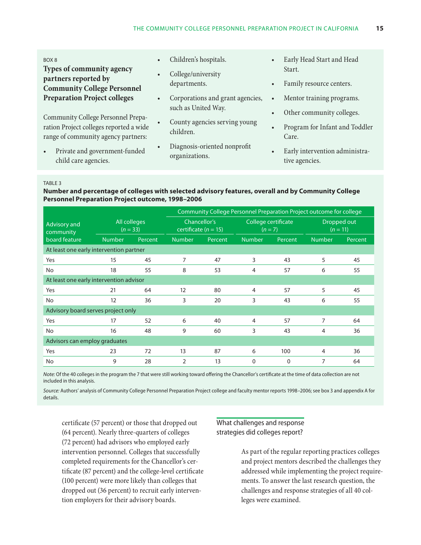#### Box 8

**Types of community agency partners reported by Community College Personnel Preparation Project colleges**

Community College Personnel Preparation Project colleges reported a wide range of community agency partners:

Private and government-funded child care agencies.

- Children's hospitals.
- College/university departments.
- • Corporations and grant agencies, such as United Way.
- County agencies serving young children.
- Diagnosis-oriented nonprofit organizations.
- Early Head Start and Head Start.
- Family resource centers.
- • Mentor training programs.
- Other community colleges.
- Program for Infant and Toddler Care.
- Early intervention administrative agencies.

#### TABLE<sub>3</sub>

## **Number and percentage of colleges with selected advisory features, overall and by Community College Personnel Preparation Project outcome, 1998–2006**

|                                         |                               |         | Community College Personnel Preparation Project outcome for college |         |                                |         |                           |         |
|-----------------------------------------|-------------------------------|---------|---------------------------------------------------------------------|---------|--------------------------------|---------|---------------------------|---------|
| Advisory and<br>community               | All colleges<br>$(n = 33)$    |         | Chancellor's<br>certificate $(n = 15)$                              |         | College certificate<br>$(n=7)$ |         | Dropped out<br>$(n = 11)$ |         |
| board feature                           | <b>Number</b>                 | Percent | <b>Number</b>                                                       | Percent | <b>Number</b>                  | Percent | <b>Number</b>             | Percent |
| At least one early intervention partner |                               |         |                                                                     |         |                                |         |                           |         |
| Yes                                     | 15                            | 45      | 7                                                                   | 47      | 3                              | 43      | 5                         | 45      |
| No                                      | 18                            | 55      | 8                                                                   | 53      | 4                              | 57      | 6                         | 55      |
| At least one early intervention advisor |                               |         |                                                                     |         |                                |         |                           |         |
| Yes                                     | 21                            | 64      | 12                                                                  | 80      | 4                              | 57      | 5                         | 45      |
| No                                      | 12                            | 36      | 3                                                                   | 20      | 3                              | 43      | 6                         | 55      |
| Advisory board serves project only      |                               |         |                                                                     |         |                                |         |                           |         |
| Yes                                     | 17                            | 52      | 6                                                                   | 40      | 4                              | 57      | 7                         | 64      |
| No                                      | 16                            | 48      | 9                                                                   | 60      | 3                              | 43      | 4                         | 36      |
|                                         | Advisors can employ graduates |         |                                                                     |         |                                |         |                           |         |
| Yes                                     | 23                            | 72      | 13                                                                  | 87      | 6                              | 100     | 4                         | 36      |
| No                                      | 9                             | 28      | $\overline{2}$                                                      | 13      | $\mathbf{0}$                   | 0       | $\overline{7}$            | 64      |

*Note:* Of the 40 colleges in the program the 7 that were still working toward offering the Chancellor's certificate at the time of data collection are not included in this analysis.

*Source:* Authors' analysis of Community College Personnel Preparation Project college and faculty mentor reports 1998–2006; see box 3 and appendix A for details.

certificate (57 percent) or those that dropped out (64 percent). Nearly three-quarters of colleges (72 percent) had advisors who employed early intervention personnel. Colleges that successfully completed requirements for the Chancellor's certificate (87 percent) and the college-level certificate (100 percent) were more likely than colleges that dropped out (36 percent) to recruit early intervention employers for their advisory boards.

What challenges and response strategies did colleges report?

> As part of the regular reporting practices colleges and project mentors described the challenges they addressed while implementing the project requirements. To answer the last research question, the challenges and response strategies of all 40 colleges were examined.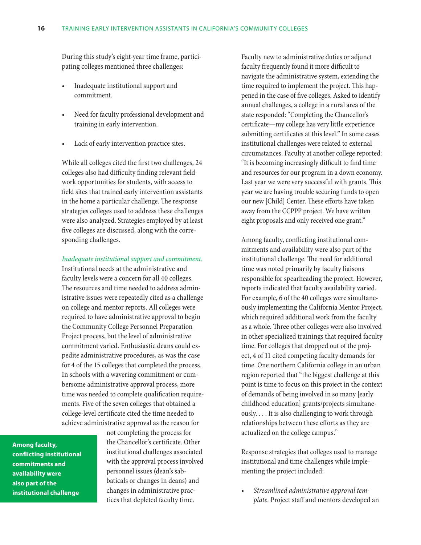During this study's eight-year time frame, participating colleges mentioned three challenges:

- Inadequate institutional support and commitment.
- Need for faculty professional development and training in early intervention.
- Lack of early intervention practice sites.

While all colleges cited the first two challenges, 24 colleges also had difficulty finding relevant fieldwork opportunities for students, with access to field sites that trained early intervention assistants in the home a particular challenge. The response strategies colleges used to address these challenges were also analyzed. Strategies employed by at least five colleges are discussed, along with the corresponding challenges.

#### *Inadequate institutional support and commitment.*

Institutional needs at the administrative and faculty levels were a concern for all 40 colleges. The resources and time needed to address administrative issues were repeatedly cited as a challenge on college and mentor reports. All colleges were required to have administrative approval to begin the Community College Personnel Preparation Project process, but the level of administrative commitment varied. Enthusiastic deans could expedite administrative procedures, as was the case for 4 of the 15 colleges that completed the process. In schools with a wavering commitment or cumbersome administrative approval process, more time was needed to complete qualification requirements. Five of the seven colleges that obtained a college-level certificate cited the time needed to achieve administrative approval as the reason for

**Among faculty, conflicting institutional commitments and availability were also part of the institutional challenge**

not completing the process for the Chancellor's certificate. Other institutional challenges associated with the approval process involved personnel issues (dean's sabbaticals or changes in deans) and changes in administrative practices that depleted faculty time.

Faculty new to administrative duties or adjunct faculty frequently found it more difficult to navigate the administrative system, extending the time required to implement the project. This happened in the case of five colleges. Asked to identify annual challenges, a college in a rural area of the state responded: "Completing the Chancellor's certificate—my college has very little experience submitting certificates at this level." In some cases institutional challenges were related to external circumstances. Faculty at another college reported: "It is becoming increasingly difficult to find time and resources for our program in a down economy. Last year we were very successful with grants. This year we are having trouble securing funds to open our new [Child] Center. These efforts have taken away from the CCPPP project. We have written eight proposals and only received one grant."

Among faculty, conflicting institutional commitments and availability were also part of the institutional challenge. The need for additional time was noted primarily by faculty liaisons responsible for spearheading the project. However, reports indicated that faculty availability varied. For example, 6 of the 40 colleges were simultaneously implementing the California Mentor Project, which required additional work from the faculty as a whole. Three other colleges were also involved in other specialized trainings that required faculty time. For colleges that dropped out of the project, 4 of 11 cited competing faculty demands for time. One northern California college in an urban region reported that "the biggest challenge at this point is time to focus on this project in the context of demands of being involved in so many [early childhood education] grants/projects simultaneously. . . . It is also challenging to work through relationships between these efforts as they are actualized on the college campus."

Response strategies that colleges used to manage institutional and time challenges while implementing the project included:

Streamlined administrative approval tem*plate.* Project staff and mentors developed an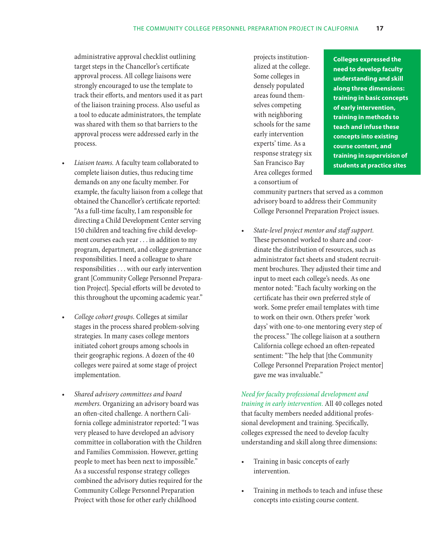administrative approval checklist outlining target steps in the Chancellor's certificate approval process. All college liaisons were strongly encouraged to use the template to track their efforts, and mentors used it as part of the liaison training process. Also useful as a tool to educate administrators, the template was shared with them so that barriers to the approval process were addressed early in the process.

- Liaison teams. A faculty team collaborated to complete liaison duties, thus reducing time demands on any one faculty member. For example, the faculty liaison from a college that obtained the Chancellor's certificate reported: "As a full-time faculty, I am responsible for directing a Child Development Center serving 150 children and teaching five child development courses each year . . . in addition to my program, department, and college governance responsibilities. I need a colleague to share responsibilities . . . with our early intervention grant [Community College Personnel Preparation Project]. Special efforts will be devoted to this throughout the upcoming academic year."
- College cohort groups. Colleges at similar stages in the process shared problem-solving strategies. In many cases college mentors initiated cohort groups among schools in their geographic regions. A dozen of the 40 colleges were paired at some stage of project implementation.
- **Shared advisory committees and board** *members.* Organizing an advisory board was an often-cited challenge. A northern California college administrator reported: "I was very pleased to have developed an advisory committee in collaboration with the Children and Families Commission. However, getting people to meet has been next to impossible." As a successful response strategy colleges combined the advisory duties required for the Community College Personnel Preparation Project with those for other early childhood

projects institutionalized at the college. Some colleges in densely populated areas found themselves competing with neighboring schools for the same early intervention experts' time. As a response strategy six San Francisco Bay Area colleges formed a consortium of

**Colleges expressed the need to develop faculty understanding and skill along three dimensions: training in basic concepts of early intervention, training in methods to teach and infuse these concepts into existing course content, and training in supervision of students at practice sites**

community partners that served as a common advisory board to address their Community College Personnel Preparation Project issues.

State-level project mentor and staff support. These personnel worked to share and coordinate the distribution of resources, such as administrator fact sheets and student recruitment brochures. They adjusted their time and input to meet each college's needs. As one mentor noted: "Each faculty working on the certificate has their own preferred style of work. Some prefer email templates with time to work on their own. Others prefer 'work days' with one-to-one mentoring every step of the process." The college liaison at a southern California college echoed an often-repeated sentiment: "The help that [the Community College Personnel Preparation Project mentor] gave me was invaluable."

*Need for faculty professional development and training in early intervention.* All 40 colleges noted that faculty members needed additional professional development and training. Specifically, colleges expressed the need to develop faculty understanding and skill along three dimensions:

- Training in basic concepts of early intervention.
- Training in methods to teach and infuse these concepts into existing course content.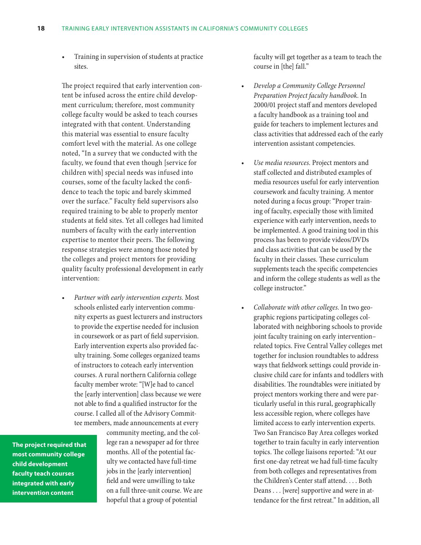Training in supervision of students at practice sites.

The project required that early intervention content be infused across the entire child development curriculum; therefore, most community college faculty would be asked to teach courses integrated with that content. Understanding this material was essential to ensure faculty comfort level with the material. As one college noted, "In a survey that we conducted with the faculty, we found that even though [service for children with] special needs was infused into courses, some of the faculty lacked the confidence to teach the topic and barely skimmed over the surface." Faculty field supervisors also required training to be able to properly mentor students at field sites. Yet all colleges had limited numbers of faculty with the early intervention expertise to mentor their peers. The following response strategies were among those noted by the colleges and project mentors for providing quality faculty professional development in early intervention:

Partner with early intervention experts. Most schools enlisted early intervention community experts as guest lecturers and instructors to provide the expertise needed for inclusion in coursework or as part of field supervision. Early intervention experts also provided faculty training. Some colleges organized teams of instructors to coteach early intervention courses. A rural northern California college faculty member wrote: "[W]e had to cancel the [early intervention] class because we were not able to find a qualified instructor for the course. I called all of the Advisory Committee members, made announcements at every

**The project required that most community college child development faculty teach courses integrated with early intervention content**

community meeting, and the college ran a newspaper ad for three months. All of the potential faculty we contacted have full-time jobs in the [early intervention] field and were unwilling to take on a full three-unit course. We are hopeful that a group of potential

faculty will get together as a team to teach the course in [the] fall."

- *Develop a Community College Personnel Preparation Project faculty handbook.* In 2000/01 project staff and mentors developed a faculty handbook as a training tool and guide for teachers to implement lectures and class activities that addressed each of the early intervention assistant competencies.
- Use media resources. Project mentors and staff collected and distributed examples of media resources useful for early intervention coursework and faculty training. A mentor noted during a focus group: "Proper training of faculty, especially those with limited experience with early intervention, needs to be implemented. A good training tool in this process has been to provide videos/DVDs and class activities that can be used by the faculty in their classes. These curriculum supplements teach the specific competencies and inform the college students as well as the college instructor."
- • *Collaborate with other colleges.* In two geographic regions participating colleges collaborated with neighboring schools to provide joint faculty training on early intervention– related topics. Five Central Valley colleges met together for inclusion roundtables to address ways that fieldwork settings could provide inclusive child care for infants and toddlers with disabilities. The roundtables were initiated by project mentors working there and were particularly useful in this rural, geographically less accessible region, where colleges have limited access to early intervention experts. Two San Francisco Bay Area colleges worked together to train faculty in early intervention topics. The college liaisons reported: "At our first one-day retreat we had full-time faculty from both colleges and representatives from the Children's Center staff attend. . . . Both Deans . . . [were] supportive and were in attendance for the first retreat." In addition, all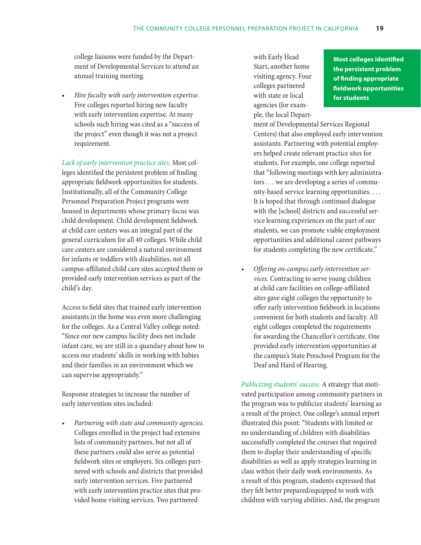college liaisons were funded by the Department of Developmental Services to attend an annual training meeting.

*Hire faculty with early intervention expertise.* Five colleges reported hiring new faculty with early intervention expertise. At many schools such hiring was cited as a "success of the project" even though it was not a project requirement.

*Lack of early intervention practice sites.* Most colleges identified the persistent problem of finding appropriate fieldwork opportunities for students. Institutionally, all of the Community College Personnel Preparation Project programs were housed in departments whose primary focus was child development. Child development fieldwork at child care centers was an integral part of the general curriculum for all 40 colleges. While child care centers are considered a natural environment for infants or toddlers with disabilities, not all campus-affiliated child care sites accepted them or provided early intervention services as part of the child's day.

Access to field sites that trained early intervention assistants in the home was even more challenging for the colleges. As a Central Valley college noted: "Since our new campus facility does not include infant care, we are still in a quandary about how to access our students' skills in working with babies and their families in an environment which we can supervise appropriately."

Response strategies to increase the number of early intervention sites included:

**Partnering with state and community agencies.** Colleges enrolled in the project had extensive lists of community partners, but not all of these partners could also serve as potential fieldwork sites or employers. Six colleges partnered with schools and districts that provided early intervention services. Five partnered with early intervention practice sites that provided home visiting services. Two partnered

with Early Head Start, another home visiting agency. Four colleges partnered with state or local agencies (for example, the local Depart-

**Most colleges identified the persistent problem of finding appropriate fieldwork opportunities for students**

ment of Developmental Services Regional Centers) that also employed early intervention assistants. Partnering with potential employers helped create relevant practice sites for students. For example, one college reported that "following meetings with key administrators . . . we are developing a series of community-based service learning opportunities. . . . It is hoped that through continued dialogue with the [school] districts and successful service learning experiences on the part of our students, we can promote viable employment opportunities and additional career pathways for students completing the new certificate."

Offering on-campus early intervention ser*vices.* Contracting to serve young children at child care facilities on college-affiliated sites gave eight colleges the opportunity to offer early intervention fieldwork in locations convenient for both students and faculty. All eight colleges completed the requirements for awarding the Chancellor's certificate. One provided early intervention opportunities at the campus's State Preschool Program for the Deaf and Hard of Hearing.

*Publicizing students' success.* A strategy that motivated participation among community partners in the program was to publicize students' learning as a result of the project. One college's annual report illustrated this point: "Students with limited or no understanding of children with disabilities successfully completed the courses that required them to display their understanding of specific disabilities as well as apply strategies learning in class within their daily work environments. As a result of this program, students expressed that they felt better prepared/equipped to work with children with varying abilities. And, the program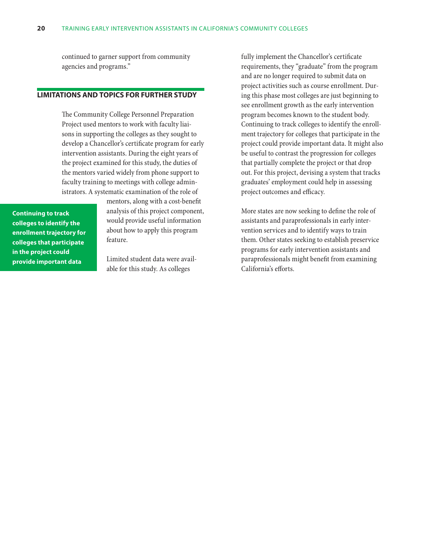continued to garner support from community agencies and programs."

## **Limitations and topics for further study**

The Community College Personnel Preparation Project used mentors to work with faculty liaisons in supporting the colleges as they sought to develop a Chancellor's certificate program for early intervention assistants. During the eight years of the project examined for this study, the duties of the mentors varied widely from phone support to faculty training to meetings with college administrators. A systematic examination of the role of

**Continuing to track colleges to identify the enrollment trajectory for colleges that participate in the project could provide important data**

mentors, along with a cost-benefit analysis of this project component, would provide useful information about how to apply this program feature.

Limited student data were available for this study. As colleges

fully implement the Chancellor's certificate requirements, they "graduate" from the program and are no longer required to submit data on project activities such as course enrollment. During this phase most colleges are just beginning to see enrollment growth as the early intervention program becomes known to the student body. Continuing to track colleges to identify the enrollment trajectory for colleges that participate in the project could provide important data. It might also be useful to contrast the progression for colleges that partially complete the project or that drop out. For this project, devising a system that tracks graduates' employment could help in assessing project outcomes and efficacy.

More states are now seeking to define the role of assistants and paraprofessionals in early intervention services and to identify ways to train them. Other states seeking to establish preservice programs for early intervention assistants and paraprofessionals might benefit from examining California's efforts.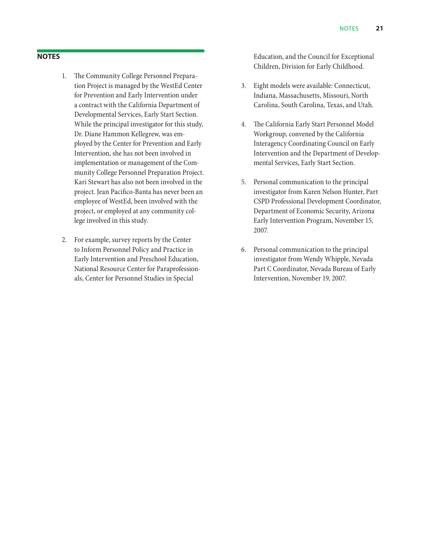## **Notes**

- 1. The Community College Personnel Preparation Project is managed by the WestEd Center for Prevention and Early Intervention under a contract with the California Department of Developmental Services, Early Start Section. While the principal investigator for this study, Dr. Diane Hammon Kellegrew, was employed by the Center for Prevention and Early Intervention, she has not been involved in implementation or management of the Community College Personnel Preparation Project. Kari Stewart has also not been involved in the project. Jean Pacifico-Banta has never been an employee of WestEd, been involved with the project, or employed at any community college involved in this study.
- 2. For example, survey reports by the Center to Inform Personnel Policy and Practice in Early Intervention and Preschool Education, National Resource Center for Paraprofessionals, Center for Personnel Studies in Special

Education, and the Council for Exceptional Children, Division for Early Childhood.

- 3. Eight models were available: Connecticut, Indiana, Massachusetts, Missouri, North Carolina, South Carolina, Texas, and Utah.
- 4. The California Early Start Personnel Model Workgroup, convened by the California Interagency Coordinating Council on Early Intervention and the Department of Developmental Services, Early Start Section.
- 5. Personal communication to the principal investigator from Karen Nelson Hunter, Part CSPD Professional Development Coordinator, Department of Economic Security, Arizona Early Intervention Program, November 15, 2007.
- 6. Personal communication to the principal investigator from Wendy Whipple, Nevada Part C Coordinator, Nevada Bureau of Early Intervention, November 19, 2007.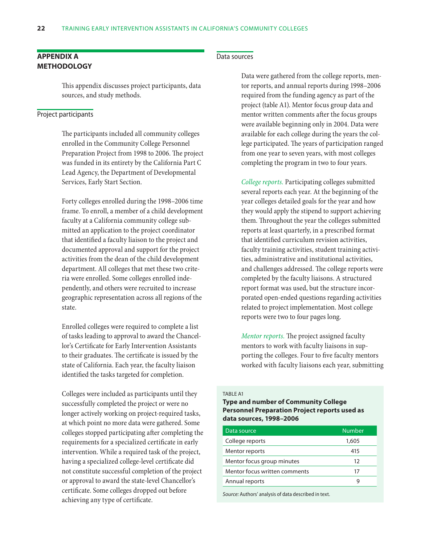## **Appendix A Methodology**

This appendix discusses project participants, data sources, and study methods.

## Project participants

The participants included all community colleges enrolled in the Community College Personnel Preparation Project from 1998 to 2006. The project was funded in its entirety by the California Part C Lead Agency, the Department of Developmental Services, Early Start Section.

Forty colleges enrolled during the 1998–2006 time frame. To enroll, a member of a child development faculty at a California community college submitted an application to the project coordinator that identified a faculty liaison to the project and documented approval and support for the project activities from the dean of the child development department. All colleges that met these two criteria were enrolled. Some colleges enrolled independently, and others were recruited to increase geographic representation across all regions of the state.

Enrolled colleges were required to complete a list of tasks leading to approval to award the Chancellor's Certificate for Early Intervention Assistants to their graduates. The certificate is issued by the state of California. Each year, the faculty liaison identified the tasks targeted for completion.

Colleges were included as participants until they successfully completed the project or were no longer actively working on project-required tasks, at which point no more data were gathered. Some colleges stopped participating after completing the requirements for a specialized certificate in early intervention. While a required task of the project, having a specialized college-level certificate did not constitute successful completion of the project or approval to award the state-level Chancellor's certificate. Some colleges dropped out before achieving any type of certificate.

## Data sources

Data were gathered from the college reports, mentor reports, and annual reports during 1998–2006 required from the funding agency as part of the project (table A1). Mentor focus group data and mentor written comments after the focus groups were available beginning only in 2004. Data were available for each college during the years the college participated. The years of participation ranged from one year to seven years, with most colleges completing the program in two to four years.

*College reports.* Participating colleges submitted several reports each year. At the beginning of the year colleges detailed goals for the year and how they would apply the stipend to support achieving them. Throughout the year the colleges submitted reports at least quarterly, in a prescribed format that identified curriculum revision activities, faculty training activities, student training activities, administrative and institutional activities, and challenges addressed. The college reports were completed by the faculty liaisons. A structured report format was used, but the structure incorporated open-ended questions regarding activities related to project implementation. Most college reports were two to four pages long.

*Mentor reports.* The project assigned faculty mentors to work with faculty liaisons in supporting the colleges. Four to five faculty mentors worked with faculty liaisons each year, submitting

#### TARI F A1

## **Type and number of Community College Personnel Preparation Project reports used as data sources, 1998–2006**

| Data source                   | <b>Number</b> |
|-------------------------------|---------------|
| College reports               | 1,605         |
| Mentor reports                | 415           |
| Mentor focus group minutes    | 12            |
| Mentor focus written comments | 17            |
| Annual reports                |               |
|                               |               |

*Source:* Authors' analysis of data described in text.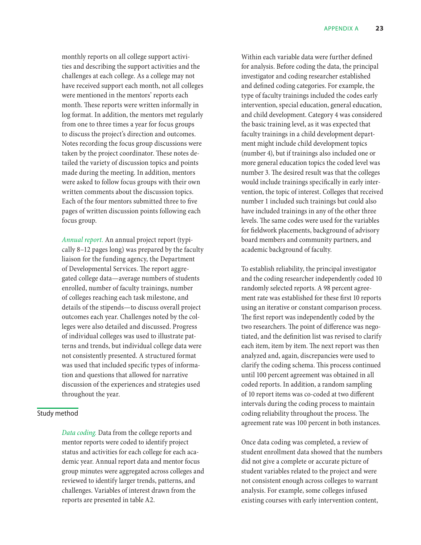monthly reports on all college support activities and describing the support activities and the challenges at each college. As a college may not have received support each month, not all colleges were mentioned in the mentors' reports each month. These reports were written informally in log format. In addition, the mentors met regularly from one to three times a year for focus groups to discuss the project's direction and outcomes. Notes recording the focus group discussions were taken by the project coordinator. These notes detailed the variety of discussion topics and points made during the meeting. In addition, mentors were asked to follow focus groups with their own written comments about the discussion topics. Each of the four mentors submitted three to five pages of written discussion points following each focus group.

*Annual report.* An annual project report (typically 8–12 pages long) was prepared by the faculty liaison for the funding agency, the Department of Developmental Services. The report aggregated college data—average numbers of students enrolled, number of faculty trainings, number of colleges reaching each task milestone, and details of the stipends—to discuss overall project outcomes each year. Challenges noted by the colleges were also detailed and discussed. Progress of individual colleges was used to illustrate patterns and trends, but individual college data were not consistently presented. A structured format was used that included specific types of information and questions that allowed for narrative discussion of the experiences and strategies used throughout the year.

#### Study method

*Data coding.* Data from the college reports and mentor reports were coded to identify project status and activities for each college for each academic year. Annual report data and mentor focus group minutes were aggregated across colleges and reviewed to identify larger trends, patterns, and challenges. Variables of interest drawn from the reports are presented in table A2.

Within each variable data were further defined for analysis. Before coding the data, the principal investigator and coding researcher established and defined coding categories. For example, the type of faculty trainings included the codes early intervention, special education, general education, and child development. Category 4 was considered the basic training level, as it was expected that faculty trainings in a child development department might include child development topics (number 4), but if trainings also included one or more general education topics the coded level was number 3. The desired result was that the colleges would include trainings specifically in early intervention, the topic of interest. Colleges that received number 1 included such trainings but could also have included trainings in any of the other three levels. The same codes were used for the variables for fieldwork placements, background of advisory board members and community partners, and academic background of faculty.

To establish reliability, the principal investigator and the coding researcher independently coded 10 randomly selected reports. A 98 percent agreement rate was established for these first 10 reports using an iterative or constant comparison process. The first report was independently coded by the two researchers. The point of difference was negotiated, and the definition list was revised to clarify each item, item by item. The next report was then analyzed and, again, discrepancies were used to clarify the coding schema. This process continued until 100 percent agreement was obtained in all coded reports. In addition, a random sampling of 10 report items was co-coded at two different intervals during the coding process to maintain coding reliability throughout the process. The agreement rate was 100 percent in both instances.

Once data coding was completed, a review of student enrollment data showed that the numbers did not give a complete or accurate picture of student variables related to the project and were not consistent enough across colleges to warrant analysis. For example, some colleges infused existing courses with early intervention content,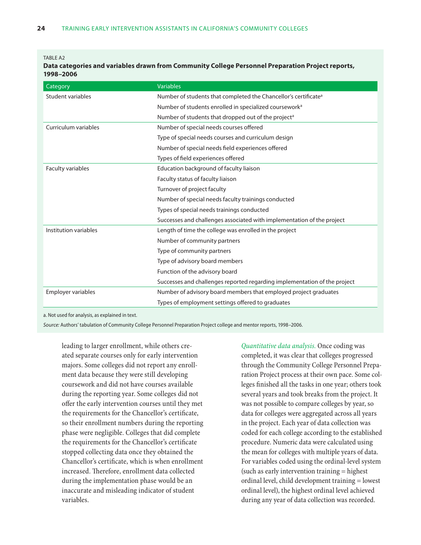#### TABLE A2

**Data categories and variables drawn from Community College Personnel Preparation Project reports, 1998–2006**

| Category              | <b>Variables</b>                                                            |  |  |
|-----------------------|-----------------------------------------------------------------------------|--|--|
| Student variables     | Number of students that completed the Chancellor's certificate <sup>a</sup> |  |  |
|                       | Number of students enrolled in specialized coursework <sup>a</sup>          |  |  |
|                       | Number of students that dropped out of the project <sup>a</sup>             |  |  |
| Curriculum variables  | Number of special needs courses offered                                     |  |  |
|                       | Type of special needs courses and curriculum design                         |  |  |
|                       | Number of special needs field experiences offered                           |  |  |
|                       | Types of field experiences offered                                          |  |  |
| Faculty variables     | Education background of faculty liaison                                     |  |  |
|                       | Faculty status of faculty liaison                                           |  |  |
|                       | Turnover of project faculty                                                 |  |  |
|                       | Number of special needs faculty trainings conducted                         |  |  |
|                       | Types of special needs trainings conducted                                  |  |  |
|                       | Successes and challenges associated with implementation of the project      |  |  |
| Institution variables | Length of time the college was enrolled in the project                      |  |  |
|                       | Number of community partners                                                |  |  |
|                       | Type of community partners                                                  |  |  |
|                       | Type of advisory board members                                              |  |  |
|                       | Function of the advisory board                                              |  |  |
|                       | Successes and challenges reported regarding implementation of the project   |  |  |
| Employer variables    | Number of advisory board members that employed project graduates            |  |  |
|                       | Types of employment settings offered to graduates                           |  |  |

a. Not used for analysis, as explained in text.

*Source:* Authors' tabulation of Community College Personnel Preparation Project college and mentor reports, 1998–2006.

leading to larger enrollment, while others created separate courses only for early intervention majors. Some colleges did not report any enrollment data because they were still developing coursework and did not have courses available during the reporting year. Some colleges did not offer the early intervention courses until they met the requirements for the Chancellor's certificate, so their enrollment numbers during the reporting phase were negligible. Colleges that did complete the requirements for the Chancellor's certificate stopped collecting data once they obtained the Chancellor's certificate, which is when enrollment increased. Therefore, enrollment data collected during the implementation phase would be an inaccurate and misleading indicator of student variables.

*Quantitative data analysis.* Once coding was completed, it was clear that colleges progressed through the Community College Personnel Preparation Project process at their own pace. Some colleges finished all the tasks in one year; others took several years and took breaks from the project. It was not possible to compare colleges by year, so data for colleges were aggregated across all years in the project. Each year of data collection was coded for each college according to the established procedure. Numeric data were calculated using the mean for colleges with multiple years of data. For variables coded using the ordinal-level system (such as early intervention training = highest ordinal level, child development training = lowest ordinal level), the highest ordinal level achieved during any year of data collection was recorded.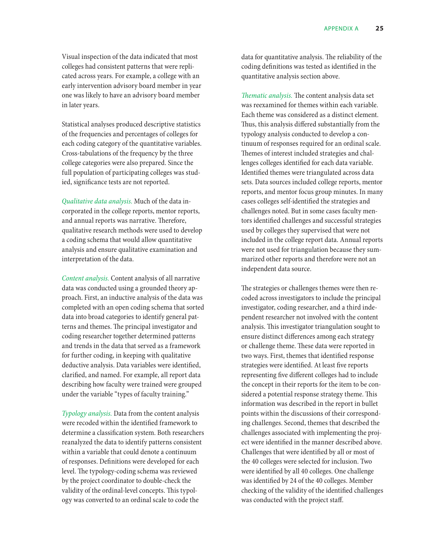Visual inspection of the data indicated that most colleges had consistent patterns that were replicated across years. For example, a college with an early intervention advisory board member in year one was likely to have an advisory board member in later years.

Statistical analyses produced descriptive statistics of the frequencies and percentages of colleges for each coding category of the quantitative variables. Cross-tabulations of the frequency by the three college categories were also prepared. Since the full population of participating colleges was studied, significance tests are not reported.

*Qualitative data analysis.* Much of the data incorporated in the college reports, mentor reports, and annual reports was narrative. Therefore, qualitative research methods were used to develop a coding schema that would allow quantitative analysis and ensure qualitative examination and interpretation of the data.

*Content analysis.* Content analysis of all narrative data was conducted using a grounded theory approach. First, an inductive analysis of the data was completed with an open coding schema that sorted data into broad categories to identify general patterns and themes. The principal investigator and coding researcher together determined patterns and trends in the data that served as a framework for further coding, in keeping with qualitative deductive analysis. Data variables were identified, clarified, and named. For example, all report data describing how faculty were trained were grouped under the variable "types of faculty training."

*Typology analysis.* Data from the content analysis were recoded within the identified framework to determine a classification system. Both researchers reanalyzed the data to identify patterns consistent within a variable that could denote a continuum of responses. Definitions were developed for each level. The typology-coding schema was reviewed by the project coordinator to double-check the validity of the ordinal-level concepts. This typology was converted to an ordinal scale to code the

data for quantitative analysis. The reliability of the coding definitions was tested as identified in the quantitative analysis section above.

*Thematic analysis.* The content analysis data set was reexamined for themes within each variable. Each theme was considered as a distinct element. Thus, this analysis differed substantially from the typology analysis conducted to develop a continuum of responses required for an ordinal scale. Themes of interest included strategies and challenges colleges identified for each data variable. Identified themes were triangulated across data sets. Data sources included college reports, mentor reports, and mentor focus group minutes. In many cases colleges self-identified the strategies and challenges noted. But in some cases faculty mentors identified challenges and successful strategies used by colleges they supervised that were not included in the college report data. Annual reports were not used for triangulation because they summarized other reports and therefore were not an independent data source.

The strategies or challenges themes were then recoded across investigators to include the principal investigator, coding researcher, and a third independent researcher not involved with the content analysis. This investigator triangulation sought to ensure distinct differences among each strategy or challenge theme. These data were reported in two ways. First, themes that identified response strategies were identified. At least five reports representing five different colleges had to include the concept in their reports for the item to be considered a potential response strategy theme. This information was described in the report in bullet points within the discussions of their corresponding challenges. Second, themes that described the challenges associated with implementing the project were identified in the manner described above. Challenges that were identified by all or most of the 40 colleges were selected for inclusion. Two were identified by all 40 colleges. One challenge was identified by 24 of the 40 colleges. Member checking of the validity of the identified challenges was conducted with the project staff.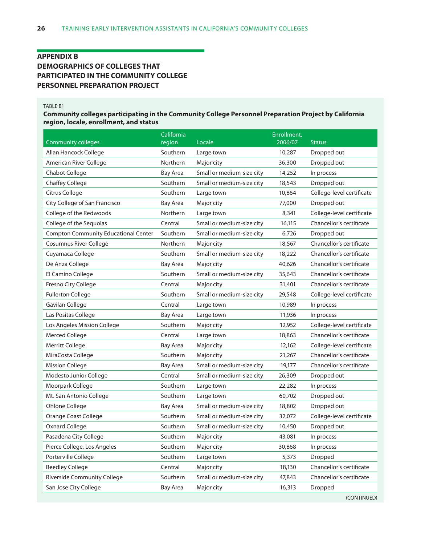## **Appendix B Demographics of colleges that participated in the Community college Personnel Preparation Project**

#### Table B1

## **Community colleges participating in the Community College Personnel Preparation Project by California region, locale, enrollment, and status**

| <b>Community colleges</b>                   | California<br>region | Locale                    | Enrollment,<br>2006/07 | <b>Status</b>             |
|---------------------------------------------|----------------------|---------------------------|------------------------|---------------------------|
| Allan Hancock College                       | Southern             | Large town                | 10,287                 | Dropped out               |
| American River College                      | Northern             | Major city                | 36,300                 | Dropped out               |
| <b>Chabot College</b>                       | <b>Bay Area</b>      | Small or medium-size city | 14,252                 | In process                |
| <b>Chaffey College</b>                      | Southern             | Small or medium-size city | 18,543                 | Dropped out               |
| Citrus College                              | Southern             | Large town                | 10,864                 | College-level certificate |
| City College of San Francisco               | Bay Area             | Major city                | 77,000                 | Dropped out               |
| College of the Redwoods                     | Northern             | Large town                | 8,341                  | College-level certificate |
| College of the Sequoias                     | Central              | Small or medium-size city | 16,115                 | Chancellor's certificate  |
| <b>Compton Community Educational Center</b> | Southern             | Small or medium-size city | 6,726                  | Dropped out               |
| <b>Cosumnes River College</b>               | Northern             | Major city                | 18,567                 | Chancellor's certificate  |
| Cuyamaca College                            | Southern             | Small or medium-size city | 18,222                 | Chancellor's certificate  |
| De Anza College                             | Bay Area             | Major city                | 40,626                 | Chancellor's certificate  |
| El Camino College                           | Southern             | Small or medium-size city | 35,643                 | Chancellor's certificate  |
| Fresno City College                         | Central              | Major city                | 31,401                 | Chancellor's certificate  |
| <b>Fullerton College</b>                    | Southern             | Small or medium-size city | 29,548                 | College-level certificate |
| Gavilan College                             | Central              | Large town                | 10,989                 | In process                |
| Las Positas College                         | Bay Area             | Large town                | 11,936                 | In process                |
| Los Angeles Mission College                 | Southern             | Major city                | 12,952                 | College-level certificate |
| Merced College                              | Central              | Large town                | 18,863                 | Chancellor's certificate  |
| Merritt College                             | Bay Area             | Major city                | 12,162                 | College-level certificate |
| MiraCosta College                           | Southern             | Major city                | 21,267                 | Chancellor's certificate  |
| <b>Mission College</b>                      | <b>Bay Area</b>      | Small or medium-size city | 19,177                 | Chancellor's certificate  |
| Modesto Junior College                      | Central              | Small or medium-size city | 26,309                 | Dropped out               |
| Moorpark College                            | Southern             | Large town                | 22,282                 | In process                |
| Mt. San Antonio College                     | Southern             | Large town                | 60,702                 | Dropped out               |
| Ohlone College                              | <b>Bay Area</b>      | Small or medium-size city | 18,802                 | Dropped out               |
| Orange Coast College                        | Southern             | Small or medium-size city | 32,072                 | College-level certificate |
| <b>Oxnard College</b>                       | Southern             | Small or medium-size city | 10,450                 | Dropped out               |
| Pasadena City College                       | Southern             | Major city                | 43,081                 | In process                |
| Pierce College, Los Angeles                 | Southern             | Major city                | 30,868                 | In process                |
| Porterville College                         | Southern             | Large town                | 5,373                  | Dropped                   |
| <b>Reedley College</b>                      | Central              | Major city                | 18,130                 | Chancellor's certificate  |
| Riverside Community College                 | Southern             | Small or medium-size city | 47,843                 | Chancellor's certificate  |
| San Jose City College                       | <b>Bay Area</b>      | Major city                | 16,313                 | Dropped                   |

(CONTINUED)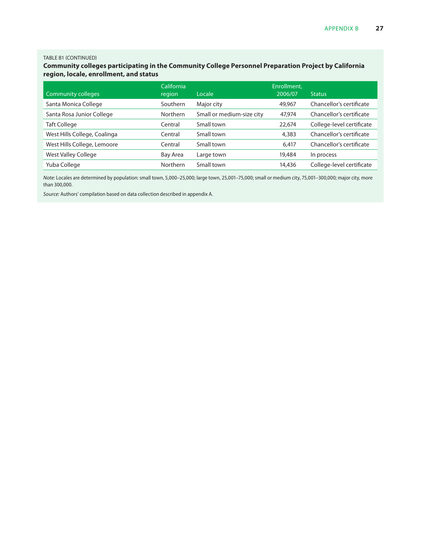### TABLE B1 (CONTINUED)

## **Community colleges participating in the Community College Personnel Preparation Project by California region, locale, enrollment, and status**

|                              | California      |                           | Enrollment. |                           |
|------------------------------|-----------------|---------------------------|-------------|---------------------------|
| <b>Community colleges</b>    | region          | Locale                    | 2006/07     | <b>Status</b>             |
| Santa Monica College         | Southern        | Major city                | 49,967      | Chancellor's certificate  |
| Santa Rosa Junior College    | <b>Northern</b> | Small or medium-size city | 47,974      | Chancellor's certificate  |
| <b>Taft College</b>          | Central         | Small town                | 22,674      | College-level certificate |
| West Hills College, Coalinga | Central         | Small town                | 4,383       | Chancellor's certificate  |
| West Hills College, Lemoore  | Central         | Small town                | 6.417       | Chancellor's certificate  |
| West Valley College          | Bay Area        | Large town                | 19,484      | In process                |
| Yuba College                 | <b>Northern</b> | Small town                | 14,436      | College-level certificate |

*Note:* Locales are determined by population: small town, 5,000–25,000; large town, 25,001–75,000; small or medium city, 75,001–300,000; major city, more than 300,000.

*Source:* Authors' compilation based on data collection described in appendix A.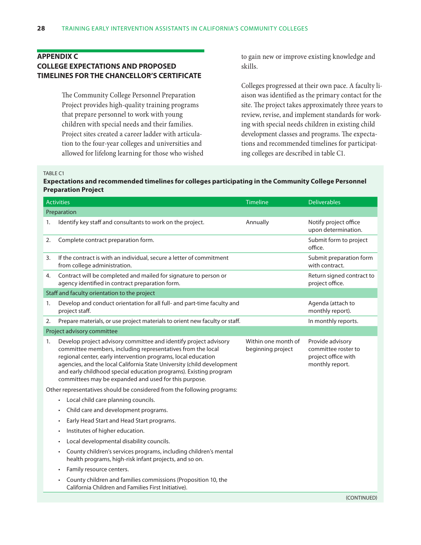## **Appendix C College expectations and proposed timelines for the Chancellor's certificate**

The Community College Personnel Preparation Project provides high-quality training programs that prepare personnel to work with young children with special needs and their families. Project sites created a career ladder with articulation to the four-year colleges and universities and allowed for lifelong learning for those who wished to gain new or improve existing knowledge and skills.

Colleges progressed at their own pace. A faculty liaison was identified as the primary contact for the site. The project takes approximately three years to review, revise, and implement standards for working with special needs children in existing child development classes and programs. The expectations and recommended timelines for participating colleges are described in table C1.

#### Table C1

## **Expectations and recommended timelines for colleges participating in the Community College Personnel Preparation Project**

|    | <b>Activities</b>                                                                                                                                                                                                                                                                                                                                                                                        | Timeline                                 | <b>Deliverables</b>                                                               |
|----|----------------------------------------------------------------------------------------------------------------------------------------------------------------------------------------------------------------------------------------------------------------------------------------------------------------------------------------------------------------------------------------------------------|------------------------------------------|-----------------------------------------------------------------------------------|
|    | Preparation                                                                                                                                                                                                                                                                                                                                                                                              |                                          |                                                                                   |
| 1. | Identify key staff and consultants to work on the project.                                                                                                                                                                                                                                                                                                                                               | Annually                                 | Notify project office<br>upon determination.                                      |
| 2. | Complete contract preparation form.                                                                                                                                                                                                                                                                                                                                                                      |                                          | Submit form to project<br>office.                                                 |
| 3. | If the contract is with an individual, secure a letter of commitment<br>from college administration.                                                                                                                                                                                                                                                                                                     |                                          | Submit preparation form<br>with contract.                                         |
| 4. | Contract will be completed and mailed for signature to person or<br>agency identified in contract preparation form.                                                                                                                                                                                                                                                                                      |                                          | Return signed contract to<br>project office.                                      |
|    | Staff and faculty orientation to the project                                                                                                                                                                                                                                                                                                                                                             |                                          |                                                                                   |
| 1. | Develop and conduct orientation for all full- and part-time faculty and<br>project staff.                                                                                                                                                                                                                                                                                                                |                                          | Agenda (attach to<br>monthly report).                                             |
| 2. | Prepare materials, or use project materials to orient new faculty or staff.                                                                                                                                                                                                                                                                                                                              |                                          | In monthly reports.                                                               |
|    | Project advisory committee                                                                                                                                                                                                                                                                                                                                                                               |                                          |                                                                                   |
| 1. | Develop project advisory committee and identify project advisory<br>committee members, including representatives from the local<br>regional center, early intervention programs, local education<br>agencies, and the local California State University (child development<br>and early childhood special education programs). Existing program<br>committees may be expanded and used for this purpose. | Within one month of<br>beginning project | Provide advisory<br>committee roster to<br>project office with<br>monthly report. |
|    | Other representatives should be considered from the following programs:                                                                                                                                                                                                                                                                                                                                  |                                          |                                                                                   |
|    | Local child care planning councils.<br>$\bullet$                                                                                                                                                                                                                                                                                                                                                         |                                          |                                                                                   |
|    | Child care and development programs.<br>$\bullet$                                                                                                                                                                                                                                                                                                                                                        |                                          |                                                                                   |
|    | Early Head Start and Head Start programs.                                                                                                                                                                                                                                                                                                                                                                |                                          |                                                                                   |
|    | Institutes of higher education.<br>$\bullet$                                                                                                                                                                                                                                                                                                                                                             |                                          |                                                                                   |
|    | Local developmental disability councils.<br>$\bullet$                                                                                                                                                                                                                                                                                                                                                    |                                          |                                                                                   |
|    | County children's services programs, including children's mental<br>health programs, high-risk infant projects, and so on.                                                                                                                                                                                                                                                                               |                                          |                                                                                   |
|    | Family resource centers.<br>$\bullet$                                                                                                                                                                                                                                                                                                                                                                    |                                          |                                                                                   |
|    | County children and families commissions (Proposition 10, the<br>California Children and Families First Initiative).                                                                                                                                                                                                                                                                                     |                                          |                                                                                   |
|    |                                                                                                                                                                                                                                                                                                                                                                                                          |                                          | (CONTINUED)                                                                       |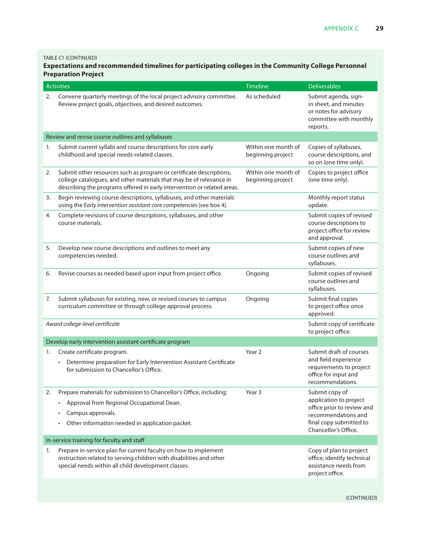TABLE C1 (CONTINUED)

## **Expectations and recommended timelines for participating colleges in the Community College Personnel Preparation Project**

|    | <b>Activities</b>                                                                                                                                                                                                               | <b>Timeline</b>                          | <b>Deliverables</b>                                                                                                                              |
|----|---------------------------------------------------------------------------------------------------------------------------------------------------------------------------------------------------------------------------------|------------------------------------------|--------------------------------------------------------------------------------------------------------------------------------------------------|
| 2. | Convene quarterly meetings of the local project advisory committee.<br>Review project goals, objectives, and desired outcomes.                                                                                                  | As scheduled                             | Submit agenda, sign-<br>in sheet, and minutes<br>or notes for advisory<br>committee with monthly<br>reports.                                     |
|    | Review and revise course outlines and syllabuses                                                                                                                                                                                |                                          |                                                                                                                                                  |
| 1. | Submit current syllabi and course descriptions for core early<br>childhood and special needs-related classes.                                                                                                                   | Within one month of<br>beginning project | Copies of syllabuses,<br>course descriptions, and<br>so on (one time only).                                                                      |
| 2. | Submit other resources such as program or certificate descriptions,<br>college catalogues, and other materials that may be of relevance in<br>describing the programs offered in early intervention or related areas.           | Within one month of<br>beginning project | Copies to project office<br>(one time only).                                                                                                     |
| 3. | Begin reviewing course descriptions, syllabuses, and other materials<br>using the Early intervention assistant core competencies (see box 4).                                                                                   |                                          | Monthly report status<br>update.                                                                                                                 |
| 4. | Complete revisions of course descriptions, syllabuses, and other<br>course materials.                                                                                                                                           |                                          | Submit copies of revised<br>course descriptions to<br>project office for review<br>and approval.                                                 |
| 5. | Develop new course descriptions and outlines to meet any<br>competencies needed.                                                                                                                                                |                                          | Submit copies of new<br>course outlines and<br>syllabuses.                                                                                       |
| 6. | Revise courses as needed based upon input from project office.                                                                                                                                                                  | Ongoing                                  | Submit copies of revised<br>course outlines and<br>syllabuses.                                                                                   |
| 7. | Submit syllabuses for existing, new, or revised courses to campus<br>curriculum committee or through college approval process.                                                                                                  | Ongoing                                  | Submit final copies<br>to project office once<br>approved.                                                                                       |
|    | Award college-level certificate                                                                                                                                                                                                 |                                          | Submit copy of certificate<br>to project office.                                                                                                 |
|    | Develop early intervention assistant certificate program                                                                                                                                                                        |                                          |                                                                                                                                                  |
| 1. | Create certificate program.<br>Determine preparation for Early Intervention Assistant Certificate<br>for submission to Chancellor's Office.                                                                                     | Year <sub>2</sub>                        | Submit draft of courses<br>and field experience<br>requirements to project<br>office for input and<br>recommendations.                           |
| 2. | Prepare materials for submission to Chancellor's Office, including:<br>Approval from Regional Occupational Dean.<br>$\bullet$<br>Campus approvals.<br>$\bullet$<br>Other information needed in application packet.<br>$\bullet$ | Year 3                                   | Submit copy of<br>application to project<br>office prior to review and<br>recommendations and<br>final copy submitted to<br>Chancellor's Office. |
|    | In-service training for faculty and staff                                                                                                                                                                                       |                                          |                                                                                                                                                  |
| 1. | Prepare in-service plan for current faculty on how to implement<br>instruction related to serving children with disabilities and other<br>special needs within all child development classes.                                   |                                          | Copy of plan to project<br>office; identify technical<br>assistance needs from<br>project office.                                                |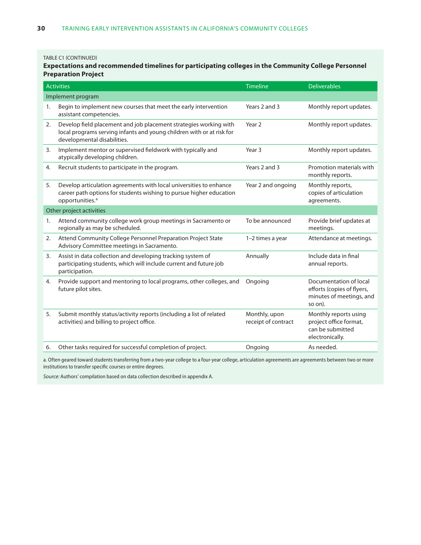#### TABLE C1 (CONTINUED)

## **Expectations and recommended timelines for participating colleges in the Community College Personnel Preparation Project**

|    | <b>Activities</b>                                                                                                                                                         | Timeline                             | <b>Deliverables</b>                                                                         |
|----|---------------------------------------------------------------------------------------------------------------------------------------------------------------------------|--------------------------------------|---------------------------------------------------------------------------------------------|
|    | Implement program                                                                                                                                                         |                                      |                                                                                             |
| 1. | Begin to implement new courses that meet the early intervention<br>assistant competencies.                                                                                | Years 2 and 3                        | Monthly report updates.                                                                     |
| 2. | Develop field placement and job placement strategies working with<br>local programs serving infants and young children with or at risk for<br>developmental disabilities. | Year <sub>2</sub>                    | Monthly report updates.                                                                     |
| 3. | Implement mentor or supervised fieldwork with typically and<br>atypically developing children.                                                                            | Year 3                               | Monthly report updates.                                                                     |
| 4. | Recruit students to participate in the program.                                                                                                                           | Years 2 and 3                        | Promotion materials with<br>monthly reports.                                                |
| 5. | Develop articulation agreements with local universities to enhance<br>career path options for students wishing to pursue higher education<br>opportunities. <sup>a</sup>  | Year 2 and ongoing                   | Monthly reports,<br>copies of articulation<br>agreements.                                   |
|    | Other project activities                                                                                                                                                  |                                      |                                                                                             |
| 1. | Attend community college work group meetings in Sacramento or<br>regionally as may be scheduled.                                                                          | To be announced                      | Provide brief updates at<br>meetings.                                                       |
| 2. | Attend Community College Personnel Preparation Project State<br>Advisory Committee meetings in Sacramento.                                                                | 1-2 times a year                     | Attendance at meetings.                                                                     |
| 3. | Assist in data collection and developing tracking system of<br>participating students, which will include current and future job<br>participation.                        | Annually                             | Include data in final<br>annual reports.                                                    |
| 4. | Provide support and mentoring to local programs, other colleges, and<br>future pilot sites.                                                                               | Ongoing                              | Documentation of local<br>efforts (copies of flyers,<br>minutes of meetings, and<br>so on). |
| 5. | Submit monthly status/activity reports (including a list of related<br>activities) and billing to project office.                                                         | Monthly, upon<br>receipt of contract | Monthly reports using<br>project office format,<br>can be submitted<br>electronically.      |
| 6. | Other tasks required for successful completion of project.                                                                                                                | Ongoing                              | As needed.                                                                                  |

a. Often geared toward students transferring from a two-year college to a four-year college, articulation agreements are agreements between two or more institutions to transfer specific courses or entire degrees.

*Source:* Authors' compilation based on data collection described in appendix A.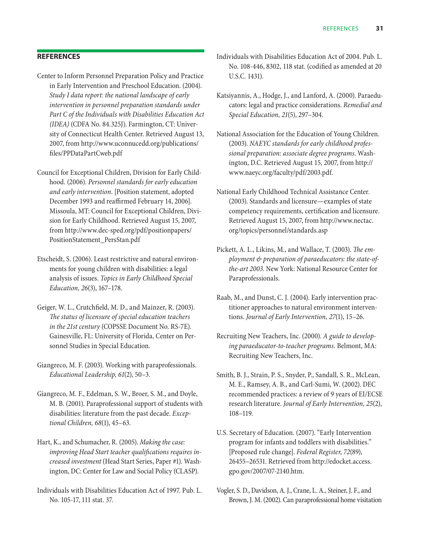## **References**

- Center to Inform Personnel Preparation Policy and Practice in Early Intervention and Preschool Education. (2004). *Study I data report: the national landscape of early intervention in personnel preparation standards under Part C of the Individuals with Disabilities Education Act (IDEA)* (CDFA No. 84.325J). Farmington, CT: University of Connecticut Health Center. Retrieved August 13, 2007, from http://www.uconnucedd.org/publications/ files/PPDataPartCweb.pdf
- Council for Exceptional Children, Division for Early Childhood. (2006). *Personnel standards for early education and early intervention*. [Position statement, adopted December 1993 and reaffirmed February 14, 2006]. Missoula, MT: Council for Exceptional Children, Division for Early Childhood. Retrieved August 15, 2007, from http://www.dec-sped.org/pdf/positionpapers/ PositionStatement\_PersStan.pdf
- Etscheidt, S. (2006). Least restrictive and natural environments for young children with disabilities: a legal analysis of issues. *Topics in Early Childhood Special Education, 26*(3), 167–178.
- Geiger, W. L., Crutchfield, M. D., and Mainzer, R. (2003). *The status of licensure of special education teachers in the 21st century* (COPSSE Document No. RS-7E). Gainesville, FL: University of Florida, Center on Personnel Studies in Special Education.
- Giangreco, M. F. (2003). Working with paraprofessionals. *Educational Leadership, 61*(2), 50–3.
- Giangreco, M. F., Edelman, S. W., Broer, S. M., and Doyle, M. B. (2001). Paraprofessional support of students with disabilities: literature from the past decade. *Exceptional Children, 68*(1), 45–63.
- Hart, K., and Schumacher, R. (2005). *Making the case: improving Head Start teacher qualifications requires increased investment* (Head Start Series, Paper #1). Washington, DC: Center for Law and Social Policy (CLASP).
- Individuals with Disabilities Education Act of 1997. Pub. L. No. 105-17, 111 stat. 37.
- Individuals with Disabilities Education Act of 2004. Pub. L. No. 108-446, 8302, 118 stat. (codified as amended at 20 U.S.C. 1431).
- Katsiyannis, A., Hodge, J., and Lanford, A. (2000). Paraeducators: legal and practice considerations. *Remedial and Special Education, 21*(5), 297–304.
- National Association for the Education of Young Children. (2003). *NAEYC standards for early childhood professional preparation: associate degree programs*. Washington, D.C. Retrieved August 15, 2007, from http:// www.naeyc.org/faculty/pdf/2003.pdf.
- National Early Childhood Technical Assistance Center. (2003). Standards and licensure—examples of state competency requirements, certification and licensure. Retrieved August 15, 2007, from http://www.nectac. org/topics/personnel/standards.asp
- Pickett, A. L., Likins, M., and Wallace, T. (2003). *The employment & preparation of paraeducators: the state-ofthe-art 2003*. New York: National Resource Center for Paraprofessionals.
- Raab, M., and Dunst, C. J. (2004). Early intervention practitioner approaches to natural environment interventions. *Journal of Early Intervention, 27*(1), 15–26.
- Recruiting New Teachers, Inc. (2000). *A guide to developing paraeducator-to-teacher programs.* Belmont, MA: Recruiting New Teachers, Inc.
- Smith, B. J., Strain, P. S., Snyder, P., Sandall, S. R., McLean, M. E., Ramsey, A. B., and Carl-Sumi, W. (2002). DEC recommended practices: a review of 9 years of EI/ECSE research literature. *Journal of Early Intervention, 25*(2), 108–119.
- U.S. Secretary of Education. (2007). "Early Intervention program for infants and toddlers with disabilities." [Proposed rule change]. *Federal Register*, *72*(89), 26455–26531. Retrieved from http://edocket.access. gpo.gov/2007/07-2140.htm.
- Vogler, S. D., Davidson, A. J., Crane, L. A., Steiner, J. F., and Brown, J. M. (2002). Can paraprofessional home visitation